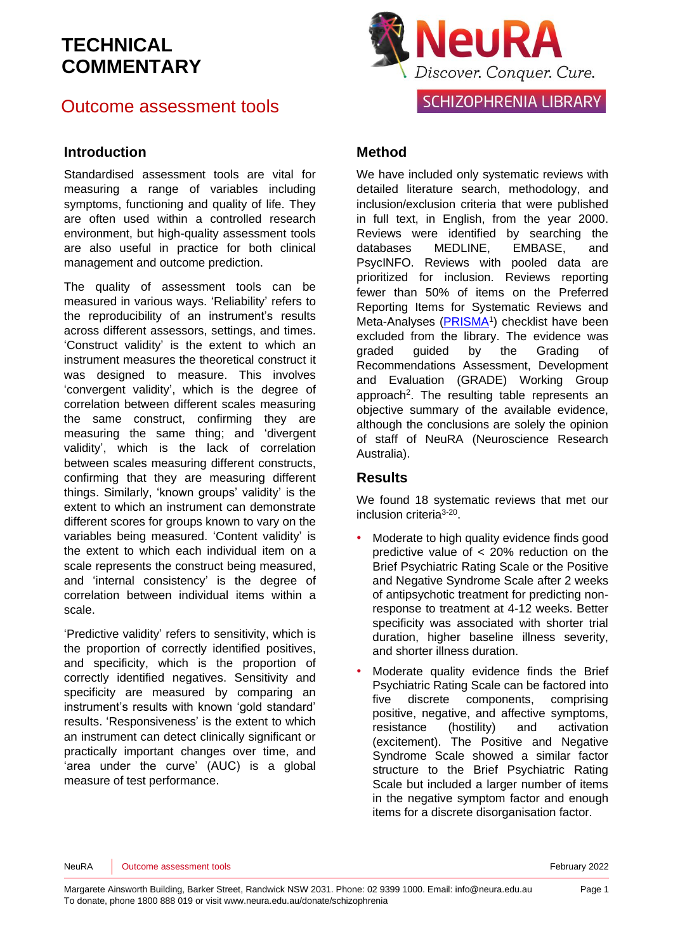### Outcome assessment tools

### **Introduction**

Standardised assessment tools are vital for measuring a range of variables including symptoms, functioning and quality of life. They are often used within a controlled research environment, but high-quality assessment tools are also useful in practice for both clinical management and outcome prediction.

The quality of assessment tools can be measured in various ways. 'Reliability' refers to the reproducibility of an instrument's results across different assessors, settings, and times. 'Construct validity' is the extent to which an instrument measures the theoretical construct it was designed to measure. This involves 'convergent validity', which is the degree of correlation between different scales measuring the same construct, confirming they are measuring the same thing; and 'divergent validity', which is the lack of correlation between scales measuring different constructs, confirming that they are measuring different things. Similarly, 'known groups' validity' is the extent to which an instrument can demonstrate different scores for groups known to vary on the variables being measured. 'Content validity' is the extent to which each individual item on a scale represents the construct being measured, and 'internal consistency' is the degree of correlation between individual items within a scale.

'Predictive validity' refers to sensitivity, which is the proportion of correctly identified positives, and specificity, which is the proportion of correctly identified negatives. Sensitivity and specificity are measured by comparing an instrument's results with known 'gold standard' results. 'Responsiveness' is the extent to which an instrument can detect clinically significant or practically important changes over time, and 'area under the curve' (AUC) is a global measure of test performance.



### **Method**

We have included only systematic reviews with detailed literature search, methodology, and inclusion/exclusion criteria that were published in full text, in English, from the year 2000. Reviews were identified by searching the databases MEDLINE, EMBASE, and PsycINFO. Reviews with pooled data are prioritized for inclusion. Reviews reporting fewer than 50% of items on the Preferred Reporting Items for Systematic Reviews and Meta-Analyses [\(PRISMA](http://www.prisma-statement.org/)<sup>1</sup>) checklist have been excluded from the library. The evidence was graded guided by the Grading of Recommendations Assessment, Development and Evaluation [\(GRADE\)](http://www.gradeworkinggroup.org/) Working Group approach<sup>[2](#page-33-1)</sup>. The resulting table represents an objective summary of the available evidence, although the conclusions are solely the opinion of staff of NeuRA (Neuroscience Research Australia).

### **Results**

We found 18 systematic reviews that met our inclusion criteria<sup>[3-20](#page-33-2)</sup>.

- Moderate to high quality evidence finds good predictive value of < 20% reduction on the Brief Psychiatric Rating Scale or the Positive and Negative Syndrome Scale after 2 weeks of antipsychotic treatment for predicting nonresponse to treatment at 4-12 weeks. Better specificity was associated with shorter trial duration, higher baseline illness severity, and shorter illness duration.
- Moderate quality evidence finds the Brief Psychiatric Rating Scale can be factored into five discrete components, comprising positive, negative, and affective symptoms, resistance (hostility) and activation (excitement). The Positive and Negative Syndrome Scale showed a similar factor structure to the Brief Psychiatric Rating Scale but included a larger number of items in the negative symptom factor and enough items for a discrete disorganisation factor.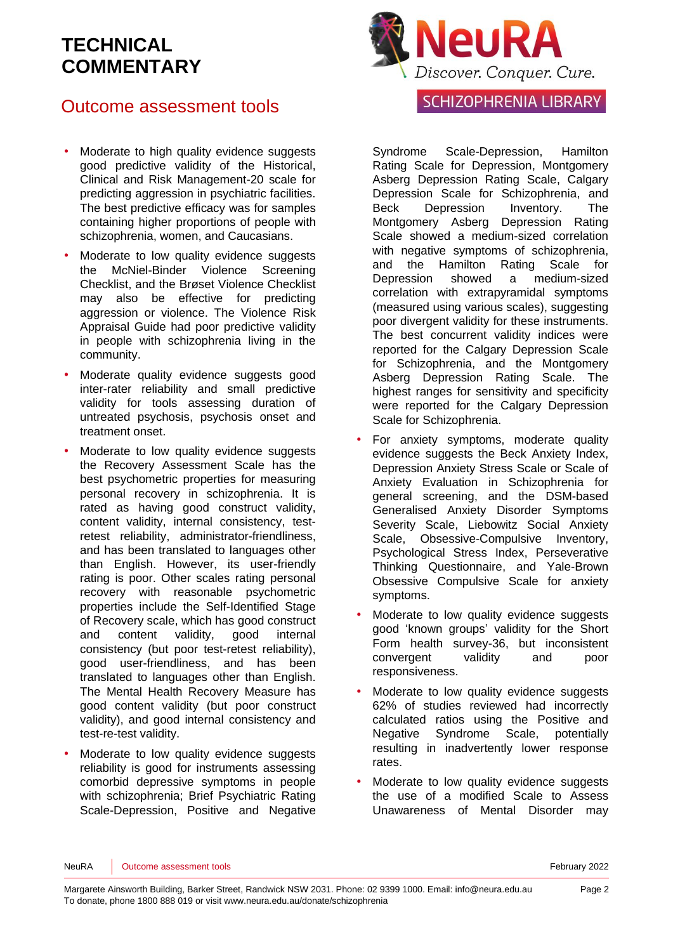## Outcome assessment tools

- Moderate to high quality evidence suggests good predictive validity of the Historical, Clinical and Risk Management-20 scale for predicting aggression in psychiatric facilities. The best predictive efficacy was for samples containing higher proportions of people with schizophrenia, women, and Caucasians.
- Moderate to low quality evidence suggests the McNiel-Binder Violence Screening Checklist, and the Brøset Violence Checklist may also be effective for predicting aggression or violence. The Violence Risk Appraisal Guide had poor predictive validity in people with schizophrenia living in the community.
- Moderate quality evidence suggests good inter-rater reliability and small predictive validity for tools assessing duration of untreated psychosis, psychosis onset and treatment onset.
- Moderate to low quality evidence suggests the Recovery Assessment Scale has the best psychometric properties for measuring personal recovery in schizophrenia. It is rated as having good construct validity, content validity, internal consistency, testretest reliability, administrator-friendliness, and has been translated to languages other than English. However, its user-friendly rating is poor. Other scales rating personal recovery with reasonable psychometric properties include the Self-Identified Stage of Recovery scale, which has good construct and content validity, good internal consistency (but poor test-retest reliability), good user-friendliness, and has been translated to languages other than English. The Mental Health Recovery Measure has good content validity (but poor construct validity), and good internal consistency and test-re-test validity.
- Moderate to low quality evidence suggests reliability is good for instruments assessing comorbid depressive symptoms in people with schizophrenia; Brief Psychiatric Rating Scale-Depression, Positive and Negative



### **SCHIZOPHRENIA LIBRARY**

Syndrome Scale-Depression, Hamilton Rating Scale for Depression, Montgomery Asberg Depression Rating Scale, Calgary Depression Scale for Schizophrenia, and Beck Depression Inventory. The Montgomery Asberg Depression Rating Scale showed a medium-sized correlation with negative symptoms of schizophrenia. and the Hamilton Rating Scale for Depression showed a medium-sized correlation with extrapyramidal symptoms (measured using various scales), suggesting poor divergent validity for these instruments. The best concurrent validity indices were reported for the Calgary Depression Scale for Schizophrenia, and the Montgomery Asberg Depression Rating Scale. The highest ranges for sensitivity and specificity were reported for the Calgary Depression Scale for Schizophrenia.

- For anxiety symptoms, moderate quality evidence suggests the Beck Anxiety Index, Depression Anxiety Stress Scale or Scale of Anxiety Evaluation in Schizophrenia for general screening, and the DSM-based Generalised Anxiety Disorder Symptoms Severity Scale, Liebowitz Social Anxiety Scale, Obsessive-Compulsive Inventory, Psychological Stress Index, Perseverative Thinking Questionnaire, and Yale-Brown Obsessive Compulsive Scale for anxiety symptoms.
- Moderate to low quality evidence suggests good 'known groups' validity for the Short Form health survey-36, but inconsistent convergent validity and poor responsiveness.
- Moderate to low quality evidence suggests 62% of studies reviewed had incorrectly calculated ratios using the Positive and Negative Syndrome Scale, potentially resulting in inadvertently lower response rates.
- Moderate to low quality evidence suggests the use of a modified Scale to Assess Unawareness of Mental Disorder may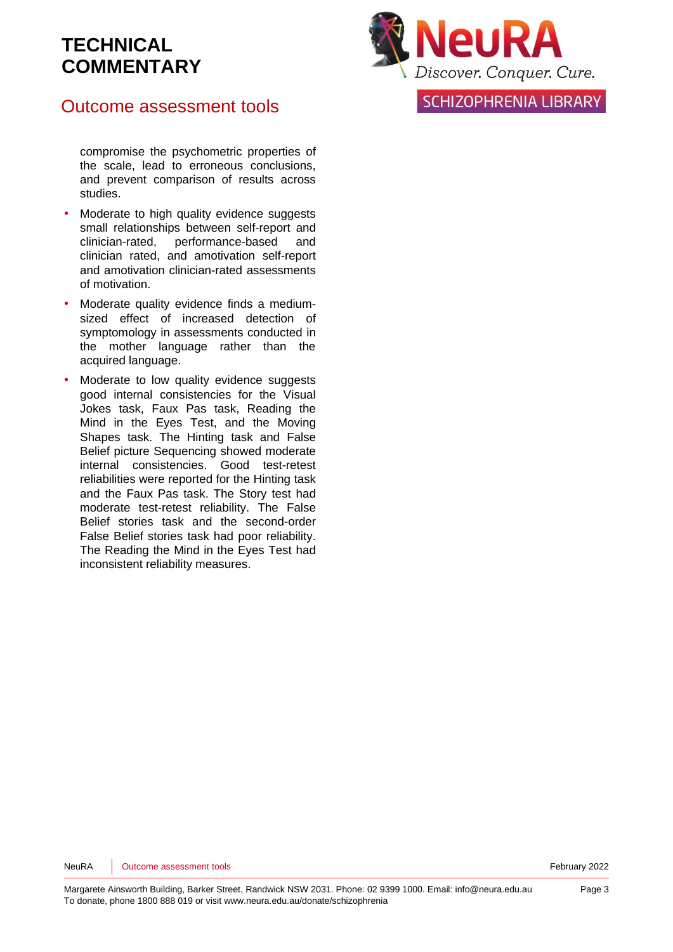## Outcome assessment tools

compromise the psychometric properties of the scale, lead to erroneous conclusions, and prevent comparison of results across studies.

- Moderate to high quality evidence suggests small relationships between self-report and clinician-rated, performance-based and clinician rated, and amotivation self-report and amotivation clinician-rated assessments of motivation.
- Moderate quality evidence finds a mediumsized effect of increased detection of symptomology in assessments conducted in the mother language rather than the acquired language.
- Moderate to low quality evidence suggests good internal consistencies for the Visual Jokes task, Faux Pas task, Reading the Mind in the Eyes Test, and the Moving Shapes task. The Hinting task and False Belief picture Sequencing showed moderate internal consistencies. Good test-retest reliabilities were reported for the Hinting task and the Faux Pas task. The Story test had moderate test-retest reliability. The False Belief stories task and the second-order False Belief stories task had poor reliability. The Reading the Mind in the Eyes Test had inconsistent reliability measures.



**SCHIZOPHRENIA LIBRARY**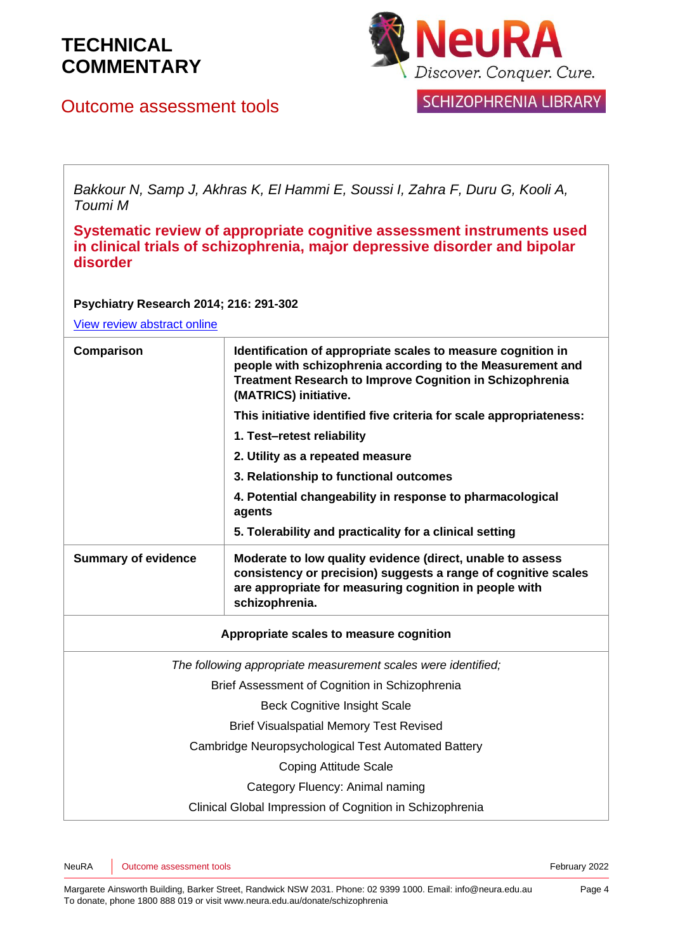



Outcome assessment tools

**SCHIZOPHRENIA LIBRARY** 

*Bakkour N, Samp J, Akhras K, El Hammi E, Soussi I, Zahra F, Duru G, Kooli A, Toumi M*

**Systematic review of appropriate cognitive assessment instruments used in clinical trials of schizophrenia, major depressive disorder and bipolar disorder**

#### **Psychiatry Research 2014; 216: 291-302**

| Comparison                                     | Identification of appropriate scales to measure cognition in<br>people with schizophrenia according to the Measurement and<br><b>Treatment Research to Improve Cognition in Schizophrenia</b><br>(MATRICS) initiative. |  |
|------------------------------------------------|------------------------------------------------------------------------------------------------------------------------------------------------------------------------------------------------------------------------|--|
|                                                | This initiative identified five criteria for scale appropriateness:                                                                                                                                                    |  |
|                                                | 1. Test-retest reliability                                                                                                                                                                                             |  |
|                                                | 2. Utility as a repeated measure                                                                                                                                                                                       |  |
|                                                | 3. Relationship to functional outcomes                                                                                                                                                                                 |  |
|                                                | 4. Potential changeability in response to pharmacological<br>agents                                                                                                                                                    |  |
|                                                | 5. Tolerability and practicality for a clinical setting                                                                                                                                                                |  |
| <b>Summary of evidence</b>                     | Moderate to low quality evidence (direct, unable to assess<br>consistency or precision) suggests a range of cognitive scales<br>are appropriate for measuring cognition in people with<br>schizophrenia.               |  |
|                                                | Appropriate scales to measure cognition                                                                                                                                                                                |  |
|                                                | The following appropriate measurement scales were identified;                                                                                                                                                          |  |
| Brief Assessment of Cognition in Schizophrenia |                                                                                                                                                                                                                        |  |
| <b>Beck Cognitive Insight Scale</b>            |                                                                                                                                                                                                                        |  |
| <b>Brief Visualspatial Memory Test Revised</b> |                                                                                                                                                                                                                        |  |
|                                                | Cambridge Neuropsychological Test Automated Battery                                                                                                                                                                    |  |
| <b>Coping Attitude Scale</b>                   |                                                                                                                                                                                                                        |  |
|                                                | Category Fluency: Animal naming                                                                                                                                                                                        |  |
|                                                | Clinical Global Impression of Cognition in Schizophrenia                                                                                                                                                               |  |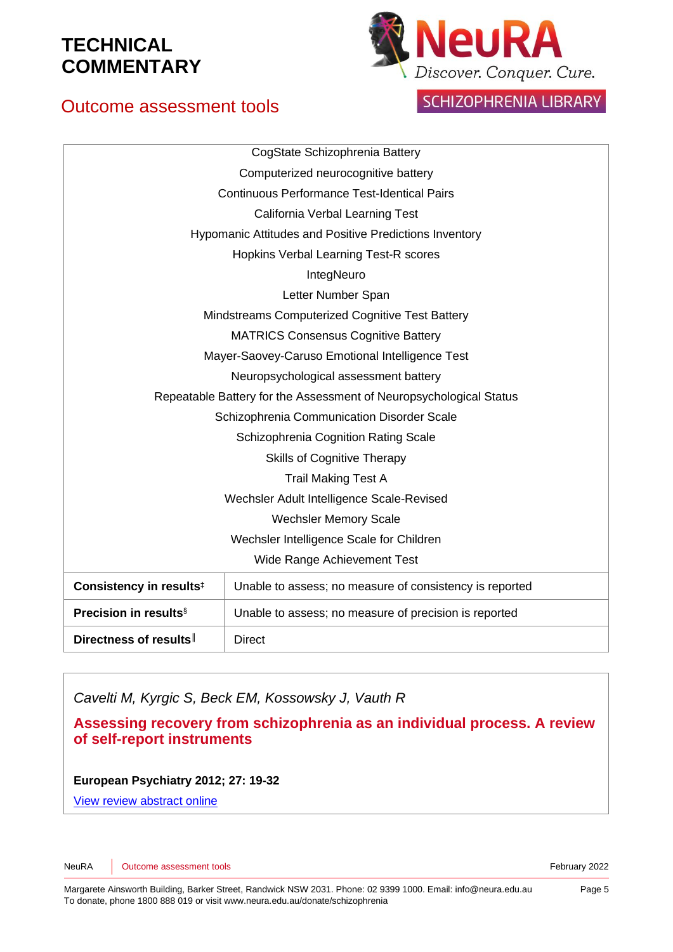

## Outcome assessment tools

SCHIZOPHRENIA LIBRARY

|                                                                    | CogState Schizophrenia Battery                                |  |
|--------------------------------------------------------------------|---------------------------------------------------------------|--|
| Computerized neurocognitive battery                                |                                                               |  |
| <b>Continuous Performance Test-Identical Pairs</b>                 |                                                               |  |
|                                                                    | California Verbal Learning Test                               |  |
|                                                                    | <b>Hypomanic Attitudes and Positive Predictions Inventory</b> |  |
| Hopkins Verbal Learning Test-R scores                              |                                                               |  |
| IntegNeuro                                                         |                                                               |  |
|                                                                    | Letter Number Span                                            |  |
| Mindstreams Computerized Cognitive Test Battery                    |                                                               |  |
| <b>MATRICS Consensus Cognitive Battery</b>                         |                                                               |  |
| Mayer-Saovey-Caruso Emotional Intelligence Test                    |                                                               |  |
| Neuropsychological assessment battery                              |                                                               |  |
| Repeatable Battery for the Assessment of Neuropsychological Status |                                                               |  |
| Schizophrenia Communication Disorder Scale                         |                                                               |  |
| Schizophrenia Cognition Rating Scale                               |                                                               |  |
| <b>Skills of Cognitive Therapy</b>                                 |                                                               |  |
| <b>Trail Making Test A</b>                                         |                                                               |  |
| Wechsler Adult Intelligence Scale-Revised                          |                                                               |  |
| <b>Wechsler Memory Scale</b>                                       |                                                               |  |
| Wechsler Intelligence Scale for Children                           |                                                               |  |
| Wide Range Achievement Test                                        |                                                               |  |
| Consistency in results <sup>#</sup>                                | Unable to assess; no measure of consistency is reported       |  |
| <b>Precision in results</b> §                                      | Unable to assess; no measure of precision is reported         |  |
| Directness of results                                              | <b>Direct</b>                                                 |  |

*Cavelti M, Kyrgic S, Beck EM, Kossowsky J, Vauth R*

**Assessing recovery from schizophrenia as an individual process. A review of self-report instruments**

**European Psychiatry 2012; 27: 19-32**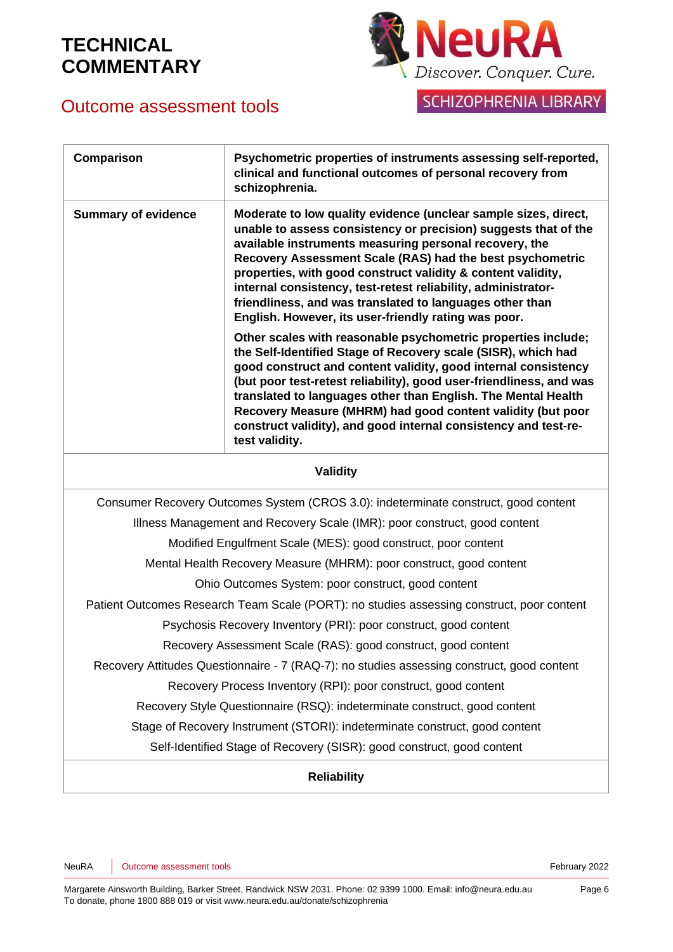



SCHIZOPHRENIA LIBRARY

| Comparison                                                                                 | Psychometric properties of instruments assessing self-reported,<br>clinical and functional outcomes of personal recovery from<br>schizophrenia.                                                                                                                                                                                                                                                                                                                                                                |  |
|--------------------------------------------------------------------------------------------|----------------------------------------------------------------------------------------------------------------------------------------------------------------------------------------------------------------------------------------------------------------------------------------------------------------------------------------------------------------------------------------------------------------------------------------------------------------------------------------------------------------|--|
| <b>Summary of evidence</b>                                                                 | Moderate to low quality evidence (unclear sample sizes, direct,<br>unable to assess consistency or precision) suggests that of the<br>available instruments measuring personal recovery, the<br>Recovery Assessment Scale (RAS) had the best psychometric<br>properties, with good construct validity & content validity,<br>internal consistency, test-retest reliability, administrator-<br>friendliness, and was translated to languages other than<br>English. However, its user-friendly rating was poor. |  |
|                                                                                            | Other scales with reasonable psychometric properties include;<br>the Self-Identified Stage of Recovery scale (SISR), which had<br>good construct and content validity, good internal consistency<br>(but poor test-retest reliability), good user-friendliness, and was<br>translated to languages other than English. The Mental Health<br>Recovery Measure (MHRM) had good content validity (but poor<br>construct validity), and good internal consistency and test-re-<br>test validity.                   |  |
| <b>Validity</b>                                                                            |                                                                                                                                                                                                                                                                                                                                                                                                                                                                                                                |  |
|                                                                                            | Consumer Recovery Outcomes System (CROS 3.0): indeterminate construct, good content                                                                                                                                                                                                                                                                                                                                                                                                                            |  |
| Illness Management and Recovery Scale (IMR): poor construct, good content                  |                                                                                                                                                                                                                                                                                                                                                                                                                                                                                                                |  |
|                                                                                            | Modified Engulfment Scale (MES): good construct, poor content                                                                                                                                                                                                                                                                                                                                                                                                                                                  |  |
| Mental Health Recovery Measure (MHRM): poor construct, good content                        |                                                                                                                                                                                                                                                                                                                                                                                                                                                                                                                |  |
| Ohio Outcomes System: poor construct, good content                                         |                                                                                                                                                                                                                                                                                                                                                                                                                                                                                                                |  |
| Patient Outcomes Research Team Scale (PORT): no studies assessing construct, poor content  |                                                                                                                                                                                                                                                                                                                                                                                                                                                                                                                |  |
| Psychosis Recovery Inventory (PRI): poor construct, good content                           |                                                                                                                                                                                                                                                                                                                                                                                                                                                                                                                |  |
| Recovery Assessment Scale (RAS): good construct, good content                              |                                                                                                                                                                                                                                                                                                                                                                                                                                                                                                                |  |
| Recovery Attitudes Questionnaire - 7 (RAQ-7): no studies assessing construct, good content |                                                                                                                                                                                                                                                                                                                                                                                                                                                                                                                |  |
| Recovery Process Inventory (RPI): poor construct, good content                             |                                                                                                                                                                                                                                                                                                                                                                                                                                                                                                                |  |
|                                                                                            | Recovery Style Questionnaire (RSQ): indeterminate construct, good content                                                                                                                                                                                                                                                                                                                                                                                                                                      |  |
|                                                                                            | Stage of Recovery Instrument (STORI): indeterminate construct, good content                                                                                                                                                                                                                                                                                                                                                                                                                                    |  |
|                                                                                            | Self-Identified Stage of Recovery (SISR): good construct, good content                                                                                                                                                                                                                                                                                                                                                                                                                                         |  |
|                                                                                            | <b>Reliability</b>                                                                                                                                                                                                                                                                                                                                                                                                                                                                                             |  |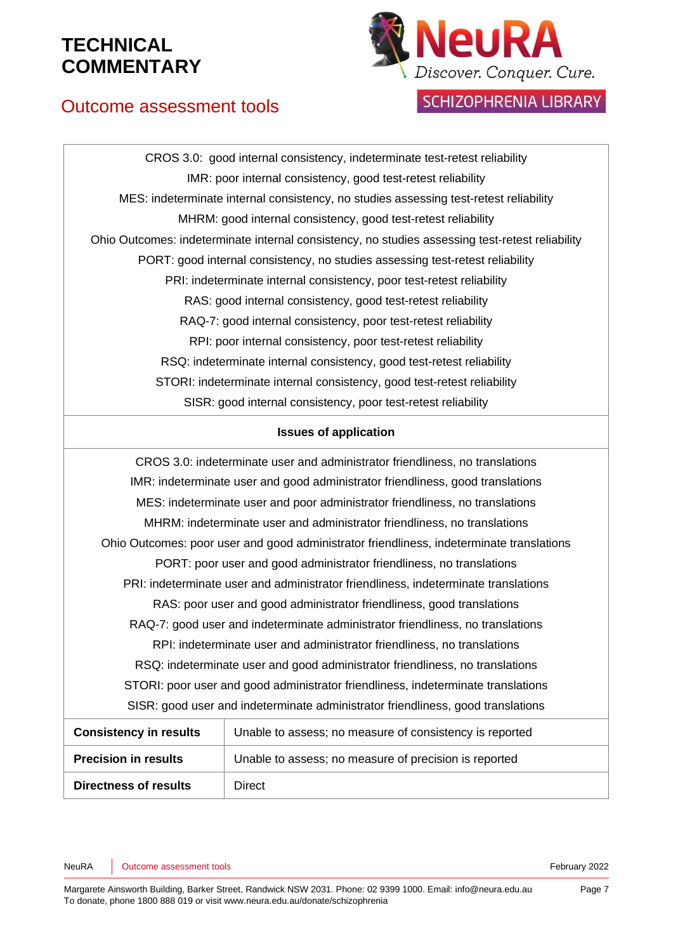

### **SCHIZOPHRENIA LIBRARY**

## Outcome assessment tools

CROS 3.0: good internal consistency, indeterminate test-retest reliability IMR: poor internal consistency, good test-retest reliability MES: indeterminate internal consistency, no studies assessing test-retest reliability MHRM: good internal consistency, good test-retest reliability Ohio Outcomes: indeterminate internal consistency, no studies assessing test-retest reliability PORT: good internal consistency, no studies assessing test-retest reliability PRI: indeterminate internal consistency, poor test-retest reliability RAS: good internal consistency, good test-retest reliability RAQ-7: good internal consistency, poor test-retest reliability RPI: poor internal consistency, poor test-retest reliability RSQ: indeterminate internal consistency, good test-retest reliability STORI: indeterminate internal consistency, good test-retest reliability SISR: good internal consistency, poor test-retest reliability

#### **Issues of application**

| CROS 3.0: indeterminate user and administrator friendliness, no translations             |                                                                          |  |
|------------------------------------------------------------------------------------------|--------------------------------------------------------------------------|--|
| IMR: indeterminate user and good administrator friendliness, good translations           |                                                                          |  |
| MES: indeterminate user and poor administrator friendliness, no translations             |                                                                          |  |
|                                                                                          | MHRM: indeterminate user and administrator friendliness, no translations |  |
| Ohio Outcomes: poor user and good administrator friendliness, indeterminate translations |                                                                          |  |
| PORT: poor user and good administrator friendliness, no translations                     |                                                                          |  |
| PRI: indeterminate user and administrator friendliness, indeterminate translations       |                                                                          |  |
| RAS: poor user and good administrator friendliness, good translations                    |                                                                          |  |
| RAQ-7: good user and indeterminate administrator friendliness, no translations           |                                                                          |  |
| RPI: indeterminate user and administrator friendliness, no translations                  |                                                                          |  |
| RSQ: indeterminate user and good administrator friendliness, no translations             |                                                                          |  |
| STORI: poor user and good administrator friendliness, indeterminate translations         |                                                                          |  |
| SISR: good user and indeterminate administrator friendliness, good translations          |                                                                          |  |
| <b>Consistency in results</b>                                                            | Unable to assess; no measure of consistency is reported                  |  |
| <b>Precision in results</b>                                                              | Unable to assess; no measure of precision is reported                    |  |
| <b>Directness of results</b>                                                             | <b>Direct</b>                                                            |  |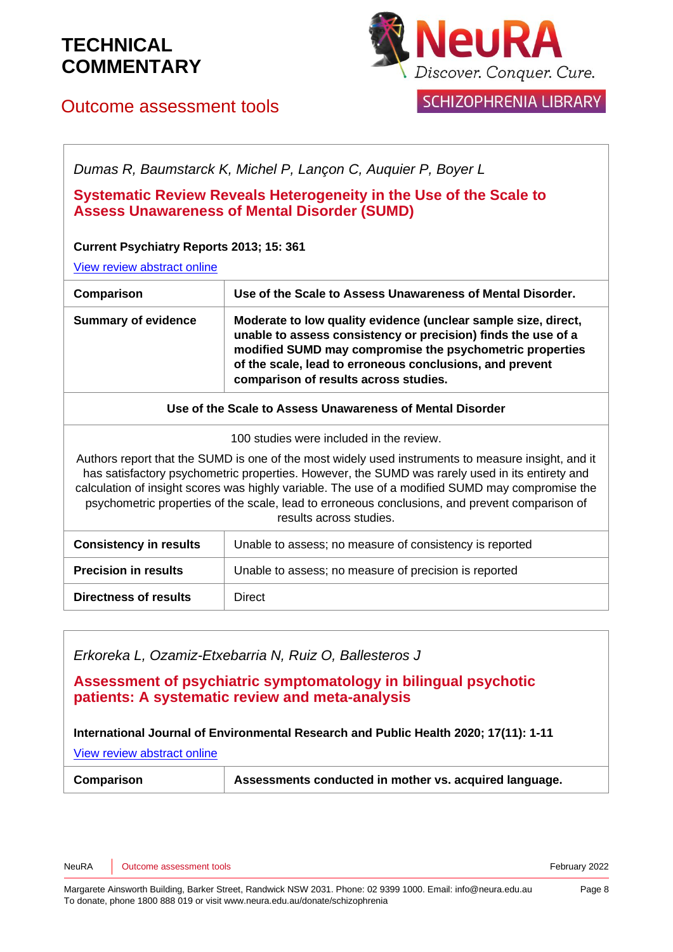

### **SCHIZOPHRENIA LIBRARY**

### Outcome assessment tools

*Dumas R, Baumstarck K, Michel P, Lançon C, Auquier P, Boyer L*

**Systematic Review Reveals Heterogeneity in the Use of the Scale to Assess Unawareness of Mental Disorder (SUMD)**

### **Current Psychiatry Reports 2013; 15: 361**

[View review abstract online](http://www.ncbi.nlm.nih.gov/pubmed/22099566)

| Comparison                 | Use of the Scale to Assess Unawareness of Mental Disorder.                                                                                                                                                                                                                                       |
|----------------------------|--------------------------------------------------------------------------------------------------------------------------------------------------------------------------------------------------------------------------------------------------------------------------------------------------|
| <b>Summary of evidence</b> | Moderate to low quality evidence (unclear sample size, direct,<br>unable to assess consistency or precision) finds the use of a<br>modified SUMD may compromise the psychometric properties<br>of the scale, lead to erroneous conclusions, and prevent<br>comparison of results across studies. |

**Use of the Scale to Assess Unawareness of Mental Disorder**

100 studies were included in the review.

Authors report that the SUMD is one of the most widely used instruments to measure insight, and it has satisfactory psychometric properties. However, the SUMD was rarely used in its entirety and calculation of insight scores was highly variable. The use of a modified SUMD may compromise the psychometric properties of the scale, lead to erroneous conclusions, and prevent comparison of results across studies.

| <b>Consistency in results</b> | Unable to assess; no measure of consistency is reported |
|-------------------------------|---------------------------------------------------------|
| <b>Precision in results</b>   | Unable to assess; no measure of precision is reported   |
| <b>Directness of results</b>  | Direct                                                  |

*Erkoreka L, Ozamiz-Etxebarria N, Ruiz O, Ballesteros J*

**Assessment of psychiatric symptomatology in bilingual psychotic patients: A systematic review and meta-analysis**

**International Journal of Environmental Research and Public Health 2020; 17(11): 1-11**

[View review abstract online](https://www.ncbi.nlm.nih.gov/pmc/articles/PMC7312010/)

**Comparison Assessments conducted in mother vs. acquired language.**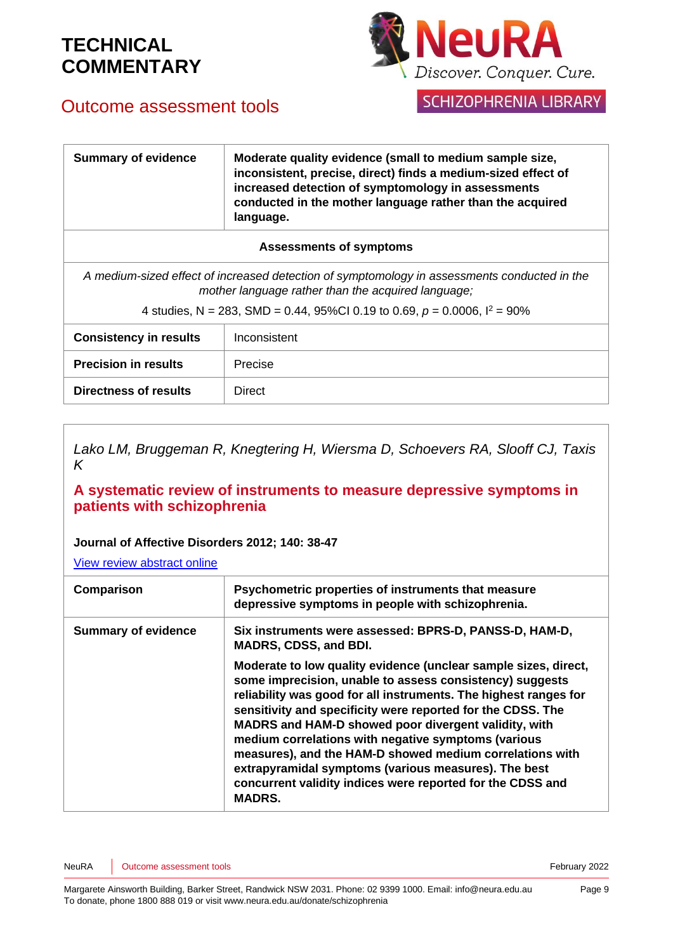

## Outcome assessment tools

SCHIZOPHRENIA LIBRARY

| <b>Summary of evidence</b>                                                      | Moderate quality evidence (small to medium sample size,<br>inconsistent, precise, direct) finds a medium-sized effect of<br>increased detection of symptomology in assessments<br>conducted in the mother language rather than the acquired<br>language. |
|---------------------------------------------------------------------------------|----------------------------------------------------------------------------------------------------------------------------------------------------------------------------------------------------------------------------------------------------------|
| <b>Assessments of symptoms</b>                                                  |                                                                                                                                                                                                                                                          |
|                                                                                 | A medium-sized effect of increased detection of symptomology in assessments conducted in the<br>mother language rather than the acquired language;                                                                                                       |
| 4 studies, N = 283, SMD = 0.44, 95%Cl 0.19 to 0.69, $p = 0.0006$ , $l^2 = 90\%$ |                                                                                                                                                                                                                                                          |
| <b>Consistency in results</b>                                                   | Inconsistent                                                                                                                                                                                                                                             |
| <b>Precision in results</b>                                                     | Precise                                                                                                                                                                                                                                                  |
| Directness of results                                                           | Direct                                                                                                                                                                                                                                                   |

*Lako LM, Bruggeman R, Knegtering H, Wiersma D, Schoevers RA, Slooff CJ, Taxis K*

### **A systematic review of instruments to measure depressive symptoms in patients with schizophrenia**

#### **Journal of Affective Disorders 2012; 140: 38-47**

| Comparison                 | Psychometric properties of instruments that measure<br>depressive symptoms in people with schizophrenia.                                                                                                                                                                                                                                                                                                                                                                                                                                                                         |
|----------------------------|----------------------------------------------------------------------------------------------------------------------------------------------------------------------------------------------------------------------------------------------------------------------------------------------------------------------------------------------------------------------------------------------------------------------------------------------------------------------------------------------------------------------------------------------------------------------------------|
| <b>Summary of evidence</b> | Six instruments were assessed: BPRS-D, PANSS-D, HAM-D,<br><b>MADRS, CDSS, and BDI.</b>                                                                                                                                                                                                                                                                                                                                                                                                                                                                                           |
|                            | Moderate to low quality evidence (unclear sample sizes, direct,<br>some imprecision, unable to assess consistency) suggests<br>reliability was good for all instruments. The highest ranges for<br>sensitivity and specificity were reported for the CDSS. The<br>MADRS and HAM-D showed poor divergent validity, with<br>medium correlations with negative symptoms (various<br>measures), and the HAM-D showed medium correlations with<br>extrapyramidal symptoms (various measures). The best<br>concurrent validity indices were reported for the CDSS and<br><b>MADRS.</b> |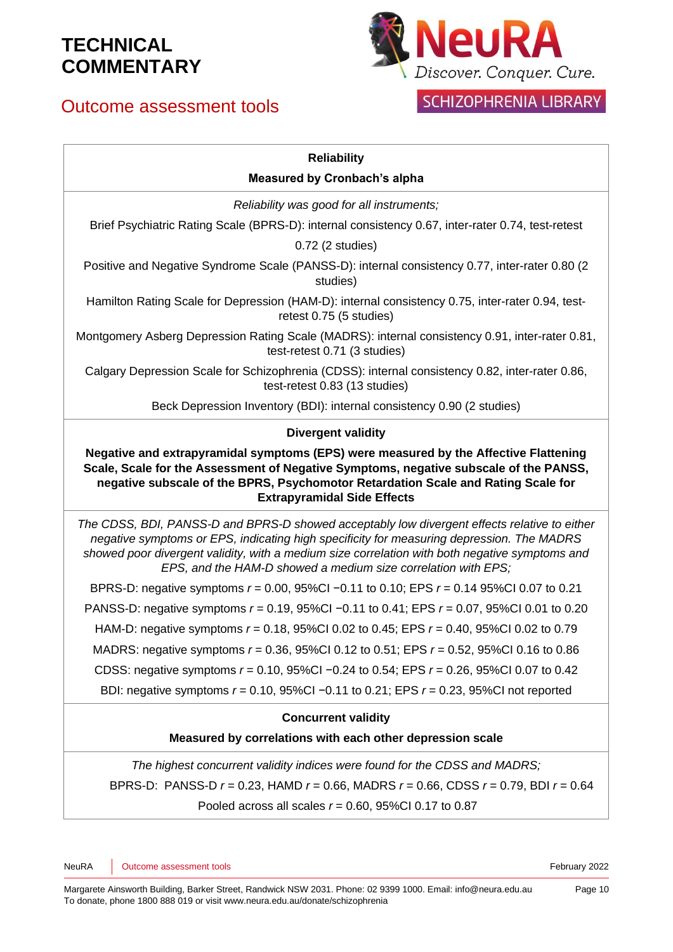## Outcome assessment tools



## SCHIZOPHRENIA LIBRARY

### **Reliability**

#### **Measured by Cronbach's alpha**

*Reliability was good for all instruments;*

Brief Psychiatric Rating Scale (BPRS-D): internal consistency 0.67, inter-rater 0.74, test-retest

0.72 (2 studies)

Positive and Negative Syndrome Scale (PANSS-D): internal consistency 0.77, inter-rater 0.80 (2 studies)

Hamilton Rating Scale for Depression (HAM-D): internal consistency 0.75, inter-rater 0.94, testretest 0.75 (5 studies)

Montgomery Asberg Depression Rating Scale (MADRS): internal consistency 0.91, inter-rater 0.81, test-retest 0.71 (3 studies)

Calgary Depression Scale for Schizophrenia (CDSS): internal consistency 0.82, inter-rater 0.86, test-retest 0.83 (13 studies)

Beck Depression Inventory (BDI): internal consistency 0.90 (2 studies)

#### **Divergent validity**

**Negative and extrapyramidal symptoms (EPS) were measured by the Affective Flattening Scale, Scale for the Assessment of Negative Symptoms, negative subscale of the PANSS, negative subscale of the BPRS, Psychomotor Retardation Scale and Rating Scale for Extrapyramidal Side Effects**

*The CDSS, BDI, PANSS-D and BPRS-D showed acceptably low divergent effects relative to either negative symptoms or EPS, indicating high specificity for measuring depression. The MADRS showed poor divergent validity, with a medium size correlation with both negative symptoms and EPS, and the HAM-D showed a medium size correlation with EPS;*

BPRS-D: negative symptoms *r* = 0.00, 95%CI −0.11 to 0.10; EPS *r* = 0.14 95%CI 0.07 to 0.21 PANSS-D: negative symptoms *r* = 0.19, 95%CI −0.11 to 0.41; EPS *r* = 0.07, 95%CI 0.01 to 0.20 HAM-D: negative symptoms *r* = 0.18, 95%CI 0.02 to 0.45; EPS *r* = 0.40, 95%CI 0.02 to 0.79 MADRS: negative symptoms *r* = 0.36, 95%CI 0.12 to 0.51; EPS *r* = 0.52, 95%CI 0.16 to 0.86 CDSS: negative symptoms *r* = 0.10, 95%CI −0.24 to 0.54; EPS *r* = 0.26, 95%CI 0.07 to 0.42 BDI: negative symptoms *r* = 0.10, 95%CI −0.11 to 0.21; EPS *r* = 0.23, 95%CI not reported

#### **Concurrent validity**

#### **Measured by correlations with each other depression scale**

*The highest concurrent validity indices were found for the CDSS and MADRS;* BPRS-D: PANSS-D *r* = 0.23, HAMD *r* = 0.66, MADRS *r* = 0.66, CDSS *r* = 0.79, BDI *r* = 0.64 Pooled across all scales *r* = 0.60, 95%CI 0.17 to 0.87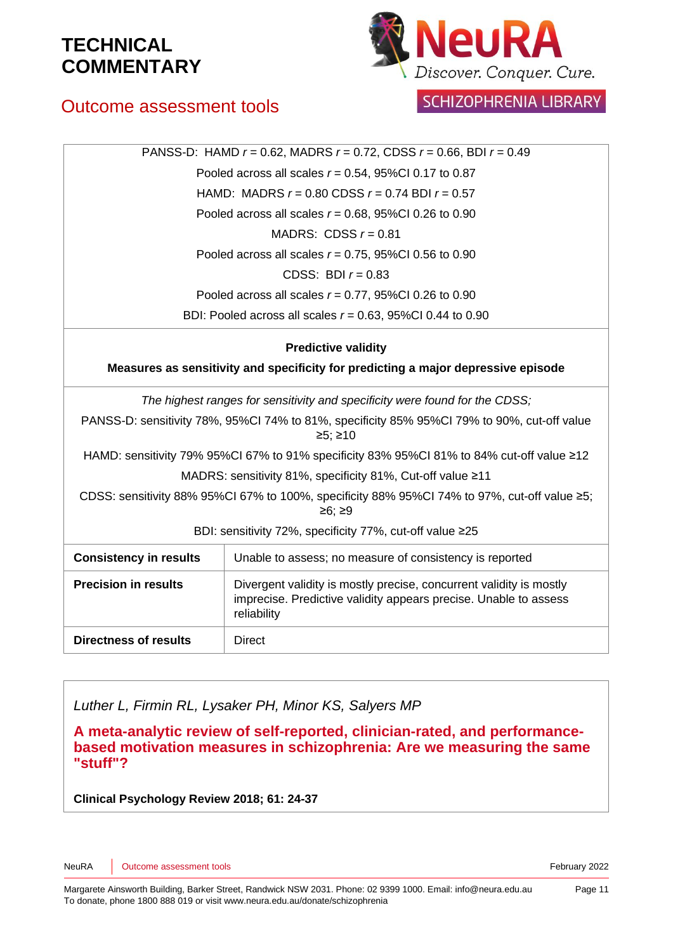

## Outcome assessment tools

SCHIZOPHRENIA LIBRARY

| PANSS-D: HAMD $r = 0.62$ , MADRS $r = 0.72$ , CDSS $r = 0.66$ , BDI $r = 0.49$                         |                                                                                                                                                        |  |
|--------------------------------------------------------------------------------------------------------|--------------------------------------------------------------------------------------------------------------------------------------------------------|--|
| Pooled across all scales $r = 0.54$ , 95%Cl 0.17 to 0.87                                               |                                                                                                                                                        |  |
| HAMD: MADRS $r = 0.80$ CDSS $r = 0.74$ BDI $r = 0.57$                                                  |                                                                                                                                                        |  |
|                                                                                                        | Pooled across all scales $r = 0.68$ , 95%Cl 0.26 to 0.90                                                                                               |  |
| MADRS: CDSS $r = 0.81$                                                                                 |                                                                                                                                                        |  |
| Pooled across all scales $r = 0.75$ , 95%Cl 0.56 to 0.90                                               |                                                                                                                                                        |  |
| CDSS: BDI $r = 0.83$                                                                                   |                                                                                                                                                        |  |
| Pooled across all scales $r = 0.77$ , 95%Cl 0.26 to 0.90                                               |                                                                                                                                                        |  |
|                                                                                                        | BDI: Pooled across all scales $r = 0.63$ , 95%Cl 0.44 to 0.90                                                                                          |  |
| <b>Predictive validity</b>                                                                             |                                                                                                                                                        |  |
| Measures as sensitivity and specificity for predicting a major depressive episode                      |                                                                                                                                                        |  |
|                                                                                                        | The highest ranges for sensitivity and specificity were found for the CDSS;                                                                            |  |
|                                                                                                        | PANSS-D: sensitivity 78%, 95%Cl 74% to 81%, specificity 85% 95%Cl 79% to 90%, cut-off value<br>≥5; ≥10                                                 |  |
| HAMD: sensitivity 79% 95%CI 67% to 91% specificity 83% 95%CI 81% to 84% cut-off value ≥12              |                                                                                                                                                        |  |
| MADRS: sensitivity 81%, specificity 81%, Cut-off value ≥11                                             |                                                                                                                                                        |  |
| CDSS: sensitivity 88% 95%CI 67% to 100%, specificity 88% 95%CI 74% to 97%, cut-off value ≥5;<br>≥6; ≥9 |                                                                                                                                                        |  |
| BDI: sensitivity 72%, specificity 77%, cut-off value ≥25                                               |                                                                                                                                                        |  |
| <b>Consistency in results</b>                                                                          | Unable to assess; no measure of consistency is reported                                                                                                |  |
| <b>Precision in results</b>                                                                            | Divergent validity is mostly precise, concurrent validity is mostly<br>imprecise. Predictive validity appears precise. Unable to assess<br>reliability |  |
| <b>Directness of results</b>                                                                           | Direct                                                                                                                                                 |  |

*Luther L, Firmin RL, Lysaker PH, Minor KS, Salyers MP*

**A meta-analytic review of self-reported, clinician-rated, and performancebased motivation measures in schizophrenia: Are we measuring the same "stuff"?** 

**Clinical Psychology Review 2018; 61: 24-37**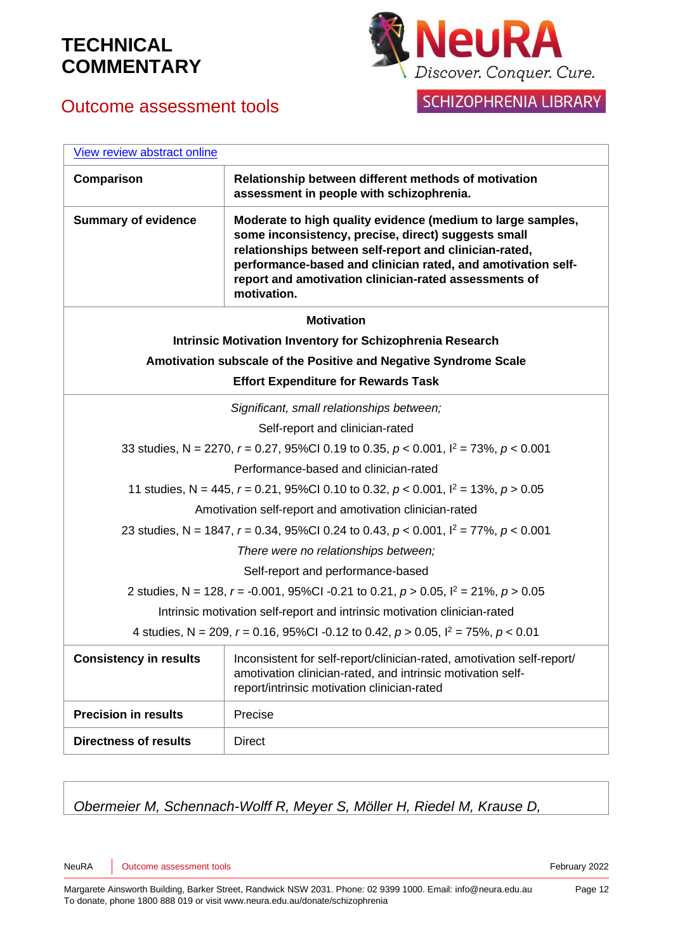## Outcome assessment tools



SCHIZOPHRENIA LIBRARY

| View review abstract online                                                                    |                                                                                                                                                                                                                                                                                                                      |  |
|------------------------------------------------------------------------------------------------|----------------------------------------------------------------------------------------------------------------------------------------------------------------------------------------------------------------------------------------------------------------------------------------------------------------------|--|
| Comparison                                                                                     | Relationship between different methods of motivation<br>assessment in people with schizophrenia.                                                                                                                                                                                                                     |  |
| <b>Summary of evidence</b>                                                                     | Moderate to high quality evidence (medium to large samples,<br>some inconsistency, precise, direct) suggests small<br>relationships between self-report and clinician-rated,<br>performance-based and clinician rated, and amotivation self-<br>report and amotivation clinician-rated assessments of<br>motivation. |  |
|                                                                                                | <b>Motivation</b>                                                                                                                                                                                                                                                                                                    |  |
|                                                                                                | <b>Intrinsic Motivation Inventory for Schizophrenia Research</b>                                                                                                                                                                                                                                                     |  |
| Amotivation subscale of the Positive and Negative Syndrome Scale                               |                                                                                                                                                                                                                                                                                                                      |  |
| <b>Effort Expenditure for Rewards Task</b>                                                     |                                                                                                                                                                                                                                                                                                                      |  |
|                                                                                                | Significant, small relationships between;                                                                                                                                                                                                                                                                            |  |
|                                                                                                | Self-report and clinician-rated                                                                                                                                                                                                                                                                                      |  |
|                                                                                                | 33 studies, N = 2270, $r = 0.27$ , 95%Cl 0.19 to 0.35, $p < 0.001$ , $l^2 = 73$ %, $p < 0.001$                                                                                                                                                                                                                       |  |
|                                                                                                | Performance-based and clinician-rated                                                                                                                                                                                                                                                                                |  |
| 11 studies, N = 445, $r = 0.21$ , 95%CI 0.10 to 0.32, $p < 0.001$ , $l^2 = 13$ %, $p > 0.05$   |                                                                                                                                                                                                                                                                                                                      |  |
|                                                                                                | Amotivation self-report and amotivation clinician-rated                                                                                                                                                                                                                                                              |  |
| 23 studies, N = 1847, $r = 0.34$ , 95%Cl 0.24 to 0.43, $p < 0.001$ , $l^2 = 77$ %, $p < 0.001$ |                                                                                                                                                                                                                                                                                                                      |  |
| There were no relationships between;                                                           |                                                                                                                                                                                                                                                                                                                      |  |
| Self-report and performance-based                                                              |                                                                                                                                                                                                                                                                                                                      |  |
| 2 studies, N = 128, r = -0.001, 95%Cl -0.21 to 0.21, $p > 0.05$ , $l^2 = 21\%$ , $p > 0.05$    |                                                                                                                                                                                                                                                                                                                      |  |
| Intrinsic motivation self-report and intrinsic motivation clinician-rated                      |                                                                                                                                                                                                                                                                                                                      |  |
| 4 studies, N = 209, $r = 0.16$ , 95%Cl -0.12 to 0.42, $p > 0.05$ , $l^2 = 75$ %, $p < 0.01$    |                                                                                                                                                                                                                                                                                                                      |  |
| <b>Consistency in results</b>                                                                  | Inconsistent for self-report/clinician-rated, amotivation self-report/<br>amotivation clinician-rated, and intrinsic motivation self-<br>report/intrinsic motivation clinician-rated                                                                                                                                 |  |
| <b>Precision in results</b>                                                                    | Precise                                                                                                                                                                                                                                                                                                              |  |
| <b>Directness of results</b>                                                                   | <b>Direct</b>                                                                                                                                                                                                                                                                                                        |  |

### *Obermeier M, Schennach-Wolff R, Meyer S, Möller H, Riedel M, Krause D,*

NeuRA Unit of the Superintendial Studies and Superintendial Studies and Superintendial Studies and Tebruary 2022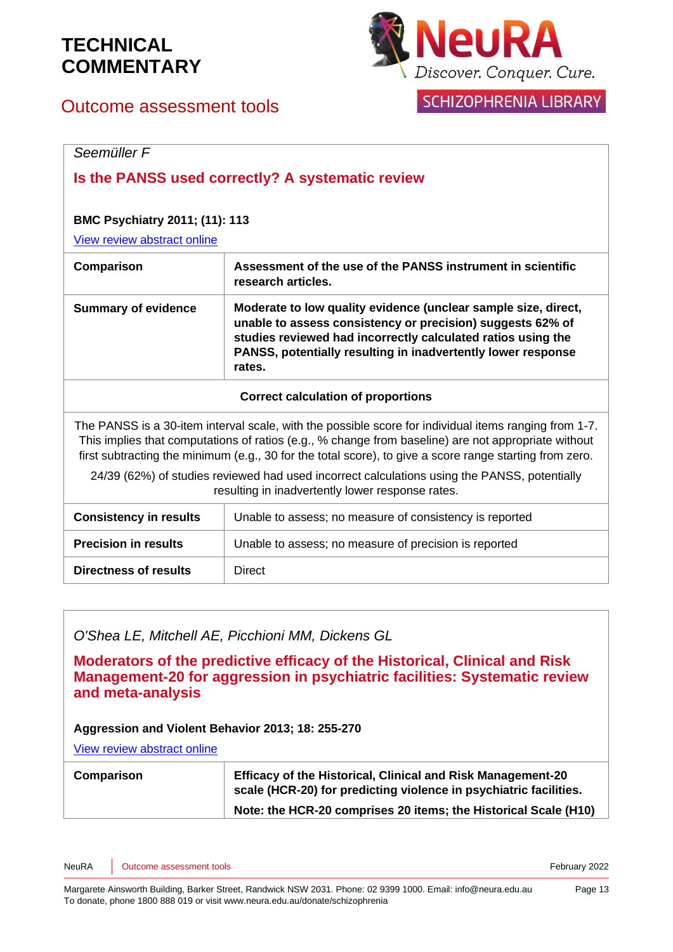## Outcome assessment tools



### **SCHIZOPHRENIA LIBRARY**

### *Seemüller F*

### **Is the PANSS used correctly? A systematic review**

### **BMC Psychiatry 2011; (11): 113**

[View review abstract online](http://www.ncbi.nlm.nih.gov/pubmed/21767349)

| Comparison                 | Assessment of the use of the PANSS instrument in scientific<br>research articles.                                                                                                                                                                                      |
|----------------------------|------------------------------------------------------------------------------------------------------------------------------------------------------------------------------------------------------------------------------------------------------------------------|
| <b>Summary of evidence</b> | Moderate to low quality evidence (unclear sample size, direct,<br>unable to assess consistency or precision) suggests 62% of<br>studies reviewed had incorrectly calculated ratios using the<br>PANSS, potentially resulting in inadvertently lower response<br>rates. |

#### **Correct calculation of proportions**

The PANSS is a 30-item interval scale, with the possible score for individual items ranging from 1-7. This implies that computations of ratios (e.g., % change from baseline) are not appropriate without first subtracting the minimum (e.g., 30 for the total score), to give a score range starting from zero.

24/39 (62%) of studies reviewed had used incorrect calculations using the PANSS, potentially resulting in inadvertently lower response rates.

| <b>Consistency in results</b> | Unable to assess; no measure of consistency is reported |
|-------------------------------|---------------------------------------------------------|
| <b>Precision in results</b>   | Unable to assess; no measure of precision is reported   |
| <b>Directness of results</b>  | <b>Direct</b>                                           |

### *O'Shea LE, Mitchell AE, Picchioni MM, Dickens GL*

**Moderators of the predictive efficacy of the Historical, Clinical and Risk Management-20 for aggression in psychiatric facilities: Systematic review and meta-analysis**

#### **Aggression and Violent Behavior 2013; 18: 255-270**

| Comparison | <b>Efficacy of the Historical, Clinical and Risk Management-20</b><br>scale (HCR-20) for predicting violence in psychiatric facilities. |
|------------|-----------------------------------------------------------------------------------------------------------------------------------------|
|            | Note: the HCR-20 comprises 20 items; the Historical Scale (H10)                                                                         |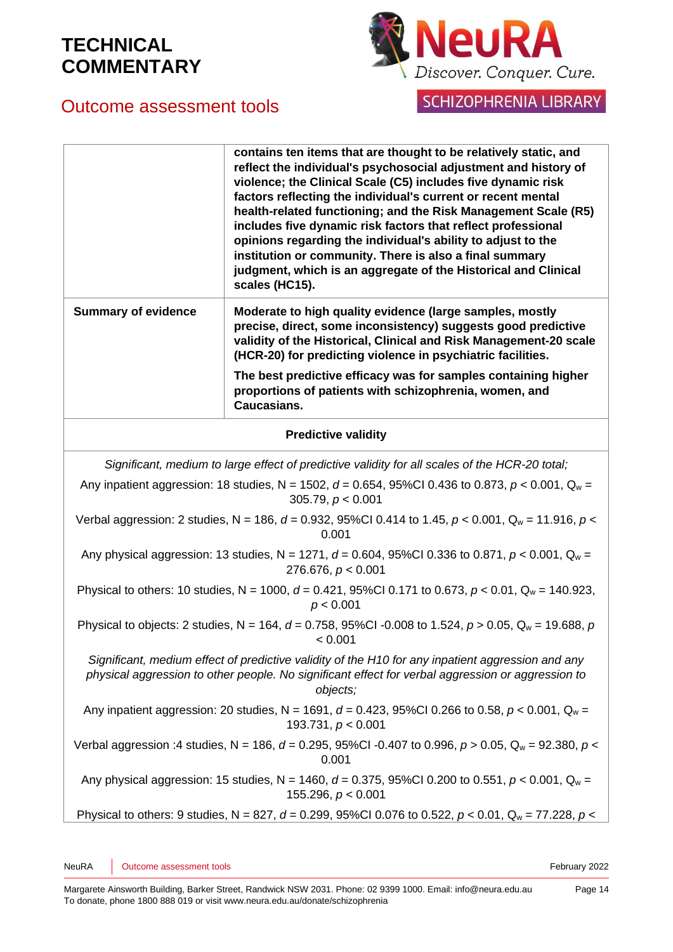

### SCHIZOPHRENIA LIBRARY

## Outcome assessment tools

|                                                                                                                                                                                                                    | contains ten items that are thought to be relatively static, and<br>reflect the individual's psychosocial adjustment and history of<br>violence; the Clinical Scale (C5) includes five dynamic risk<br>factors reflecting the individual's current or recent mental<br>health-related functioning; and the Risk Management Scale (R5)<br>includes five dynamic risk factors that reflect professional<br>opinions regarding the individual's ability to adjust to the<br>institution or community. There is also a final summary<br>judgment, which is an aggregate of the Historical and Clinical<br>scales (HC15). |
|--------------------------------------------------------------------------------------------------------------------------------------------------------------------------------------------------------------------|----------------------------------------------------------------------------------------------------------------------------------------------------------------------------------------------------------------------------------------------------------------------------------------------------------------------------------------------------------------------------------------------------------------------------------------------------------------------------------------------------------------------------------------------------------------------------------------------------------------------|
| <b>Summary of evidence</b>                                                                                                                                                                                         | Moderate to high quality evidence (large samples, mostly<br>precise, direct, some inconsistency) suggests good predictive<br>validity of the Historical, Clinical and Risk Management-20 scale<br>(HCR-20) for predicting violence in psychiatric facilities.                                                                                                                                                                                                                                                                                                                                                        |
|                                                                                                                                                                                                                    | The best predictive efficacy was for samples containing higher<br>proportions of patients with schizophrenia, women, and<br><b>Caucasians.</b>                                                                                                                                                                                                                                                                                                                                                                                                                                                                       |
|                                                                                                                                                                                                                    | <b>Predictive validity</b>                                                                                                                                                                                                                                                                                                                                                                                                                                                                                                                                                                                           |
|                                                                                                                                                                                                                    | Significant, medium to large effect of predictive validity for all scales of the HCR-20 total;                                                                                                                                                                                                                                                                                                                                                                                                                                                                                                                       |
| Any inpatient aggression: 18 studies, N = 1502, d = 0.654, 95%Cl 0.436 to 0.873, $p < 0.001$ , Q <sub>w</sub> =<br>305.79, $p < 0.001$                                                                             |                                                                                                                                                                                                                                                                                                                                                                                                                                                                                                                                                                                                                      |
| Verbal aggression: 2 studies, N = 186, d = 0.932, 95%Cl 0.414 to 1.45, $p < 0.001$ , Q <sub>w</sub> = 11.916, $p <$<br>0.001                                                                                       |                                                                                                                                                                                                                                                                                                                                                                                                                                                                                                                                                                                                                      |
| Any physical aggression: 13 studies, N = 1271, d = 0.604, 95%Cl 0.336 to 0.871, $p < 0.001$ , Q <sub>w</sub> =<br>276.676, $p < 0.001$                                                                             |                                                                                                                                                                                                                                                                                                                                                                                                                                                                                                                                                                                                                      |
| Physical to others: 10 studies, N = 1000, d = 0.421, 95%Cl 0.171 to 0.673, $p < 0.01$ , Q <sub>w</sub> = 140.923,<br>p < 0.001                                                                                     |                                                                                                                                                                                                                                                                                                                                                                                                                                                                                                                                                                                                                      |
| Physical to objects: 2 studies, N = 164, d = 0.758, 95%CI -0.008 to 1.524, $p > 0.05$ , Q <sub>w</sub> = 19.688, p<br>< 0.001                                                                                      |                                                                                                                                                                                                                                                                                                                                                                                                                                                                                                                                                                                                                      |
| Significant, medium effect of predictive validity of the H10 for any inpatient aggression and any<br>physical aggression to other people. No significant effect for verbal aggression or aggression to<br>objects; |                                                                                                                                                                                                                                                                                                                                                                                                                                                                                                                                                                                                                      |
| Any inpatient aggression: 20 studies, N = 1691, $d = 0.423$ , 95%Cl 0.266 to 0.58, $p < 0.001$ , Q <sub>w</sub> =<br>193.731, $p < 0.001$                                                                          |                                                                                                                                                                                                                                                                                                                                                                                                                                                                                                                                                                                                                      |
|                                                                                                                                                                                                                    | Verbal aggression :4 studies, N = 186, d = 0.295, 95%CI -0.407 to 0.996, $p > 0.05$ , $Q_w = 92.380$ , $p <$                                                                                                                                                                                                                                                                                                                                                                                                                                                                                                         |

Any physical aggression: 15 studies,  $N = 1460$ ,  $d = 0.375$ , 95%CI 0.200 to 0.551,  $p < 0.001$ ,  $Q_w =$ 155.296, *p* < 0.001

Physical to others: 9 studies, N = 827, *d* = 0.299, 95%CI 0.076 to 0.522, *p* < 0.01, Q<sup>w</sup> = 77.228, *p* <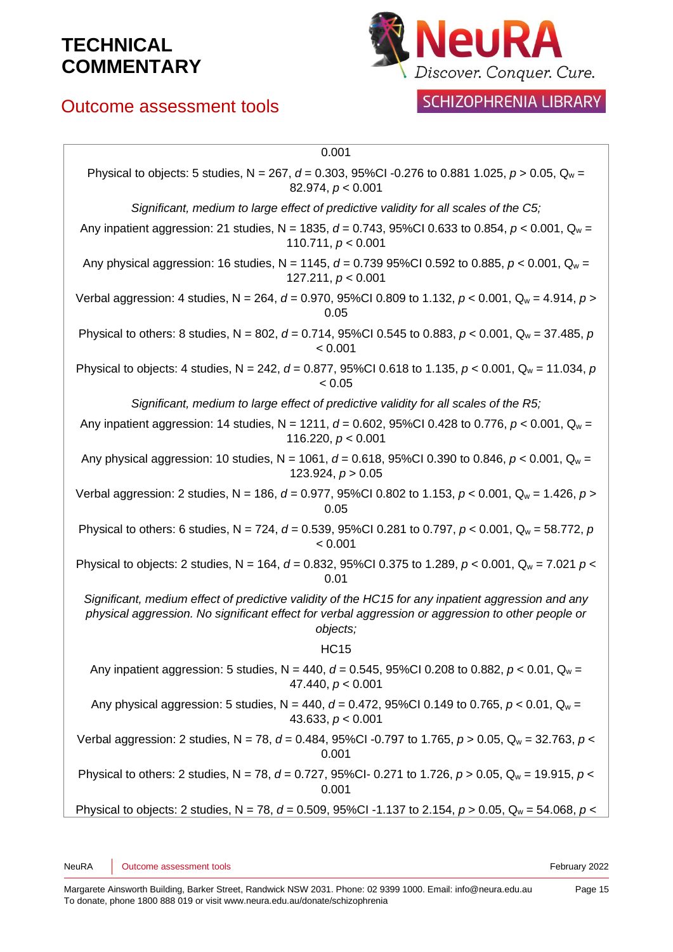## Outcome assessment tools



## SCHIZOPHRENIA LIBRARY

| 0.001                                                                                                                                                                                                               |
|---------------------------------------------------------------------------------------------------------------------------------------------------------------------------------------------------------------------|
| Physical to objects: 5 studies, N = 267, d = 0.303, 95%CI -0.276 to 0.881 1.025, $p > 0.05$ , Q <sub>w</sub> =<br>82.974, $p < 0.001$                                                                               |
| Significant, medium to large effect of predictive validity for all scales of the C5;                                                                                                                                |
| Any inpatient aggression: 21 studies, N = 1835, d = 0.743, 95%Cl 0.633 to 0.854, $p < 0.001$ , Q <sub>w</sub> =<br>110.711, $p < 0.001$                                                                             |
| Any physical aggression: 16 studies, N = 1145, $d = 0.73995\%$ CI 0.592 to 0.885, $p < 0.001$ , $Q_w =$<br>127.211, $p < 0.001$                                                                                     |
| Verbal aggression: 4 studies, N = 264, d = 0.970, 95%Cl 0.809 to 1.132, $p < 0.001$ , $Q_w = 4.914$ , $p >$<br>0.05                                                                                                 |
| Physical to others: 8 studies, N = 802, d = 0.714, 95%Cl 0.545 to 0.883, p < 0.001, Q <sub>w</sub> = 37.485, p<br>< 0.001                                                                                           |
| Physical to objects: 4 studies, N = 242, $d$ = 0.877, 95%CI 0.618 to 1.135, $p$ < 0.001, Q <sub>w</sub> = 11.034, $p$<br>< 0.05                                                                                     |
| Significant, medium to large effect of predictive validity for all scales of the R5;                                                                                                                                |
| Any inpatient aggression: 14 studies, N = 1211, $d = 0.602$ , 95%Cl 0.428 to 0.776, $p < 0.001$ , Q <sub>w</sub> =<br>116.220, $p < 0.001$                                                                          |
| Any physical aggression: 10 studies, N = 1061, d = 0.618, 95%Cl 0.390 to 0.846, $p < 0.001$ , Q <sub>w</sub> =<br>123.924, $p > 0.05$                                                                               |
| Verbal aggression: 2 studies, N = 186, d = 0.977, 95%Cl 0.802 to 1.153, $p < 0.001$ , Q <sub>w</sub> = 1.426, $p >$<br>0.05                                                                                         |
| Physical to others: 6 studies, N = 724, d = 0.539, 95%Cl 0.281 to 0.797, p < 0.001, Q <sub>w</sub> = 58.772, p<br>< 0.001                                                                                           |
| Physical to objects: 2 studies, N = 164, d = 0.832, 95%CI 0.375 to 1.289, $p < 0.001$ , Q <sub>w</sub> = 7.021 $p <$<br>0.01                                                                                        |
| Significant, medium effect of predictive validity of the HC15 for any inpatient aggression and any<br>physical aggression. No significant effect for verbal aggression or aggression to other people or<br>objects; |
| <b>HC15</b>                                                                                                                                                                                                         |
| Any inpatient aggression: 5 studies, N = 440, $d = 0.545$ , 95%CI 0.208 to 0.882, p < 0.01, Q <sub>w</sub> =<br>47.440, $p < 0.001$                                                                                 |
| Any physical aggression: 5 studies, N = 440, $d = 0.472$ , 95%Cl 0.149 to 0.765, p < 0.01, Q <sub>w</sub> =<br>43.633, $p < 0.001$                                                                                  |
| Verbal aggression: 2 studies, N = 78, d = 0.484, 95%CI -0.797 to 1.765, $p > 0.05$ , Q <sub>w</sub> = 32.763, $p <$<br>0.001                                                                                        |
| Physical to others: 2 studies, N = 78, d = 0.727, 95%CI- 0.271 to 1.726, $p > 0.05$ , $Q_w = 19.915$ , $p <$<br>0.001                                                                                               |
| Physical to objects: 2 studies, N = 78, d = 0.509, 95%Cl -1.137 to 2.154, $p > 0.05$ , Q <sub>w</sub> = 54.068, $p <$                                                                                               |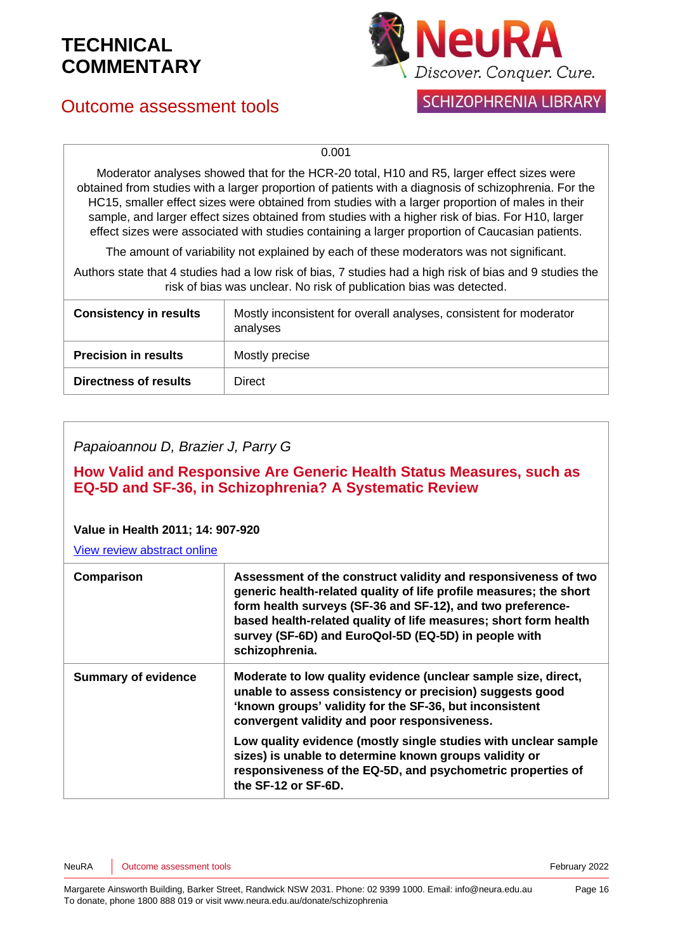## Outcome assessment tools



### **SCHIZOPHRENIA LIBRARY**

0.001

Moderator analyses showed that for the HCR-20 total, H10 and R5, larger effect sizes were obtained from studies with a larger proportion of patients with a diagnosis of schizophrenia. For the HC15, smaller effect sizes were obtained from studies with a larger proportion of males in their sample, and larger effect sizes obtained from studies with a higher risk of bias. For H10, larger effect sizes were associated with studies containing a larger proportion of Caucasian patients.

The amount of variability not explained by each of these moderators was not significant.

Authors state that 4 studies had a low risk of bias, 7 studies had a high risk of bias and 9 studies the risk of bias was unclear. No risk of publication bias was detected.

| <b>Consistency in results</b> | Mostly inconsistent for overall analyses, consistent for moderator<br>analyses |
|-------------------------------|--------------------------------------------------------------------------------|
| <b>Precision in results</b>   | Mostly precise                                                                 |
| <b>Directness of results</b>  | Direct                                                                         |

*Papaioannou D, Brazier J, Parry G*

**How Valid and Responsive Are Generic Health Status Measures, such as EQ-5D and SF-36, in Schizophrenia? A Systematic Review**

#### **Value in Health 2011; 14: 907-920**

| Comparison                 | Assessment of the construct validity and responsiveness of two<br>generic health-related quality of life profile measures; the short<br>form health surveys (SF-36 and SF-12), and two preference-<br>based health-related quality of life measures; short form health<br>survey (SF-6D) and EuroQol-5D (EQ-5D) in people with<br>schizophrenia. |
|----------------------------|--------------------------------------------------------------------------------------------------------------------------------------------------------------------------------------------------------------------------------------------------------------------------------------------------------------------------------------------------|
| <b>Summary of evidence</b> | Moderate to low quality evidence (unclear sample size, direct,<br>unable to assess consistency or precision) suggests good<br>'known groups' validity for the SF-36, but inconsistent<br>convergent validity and poor responsiveness.                                                                                                            |
|                            | Low quality evidence (mostly single studies with unclear sample<br>sizes) is unable to determine known groups validity or<br>responsiveness of the EQ-5D, and psychometric properties of<br>the SF-12 or SF-6D.                                                                                                                                  |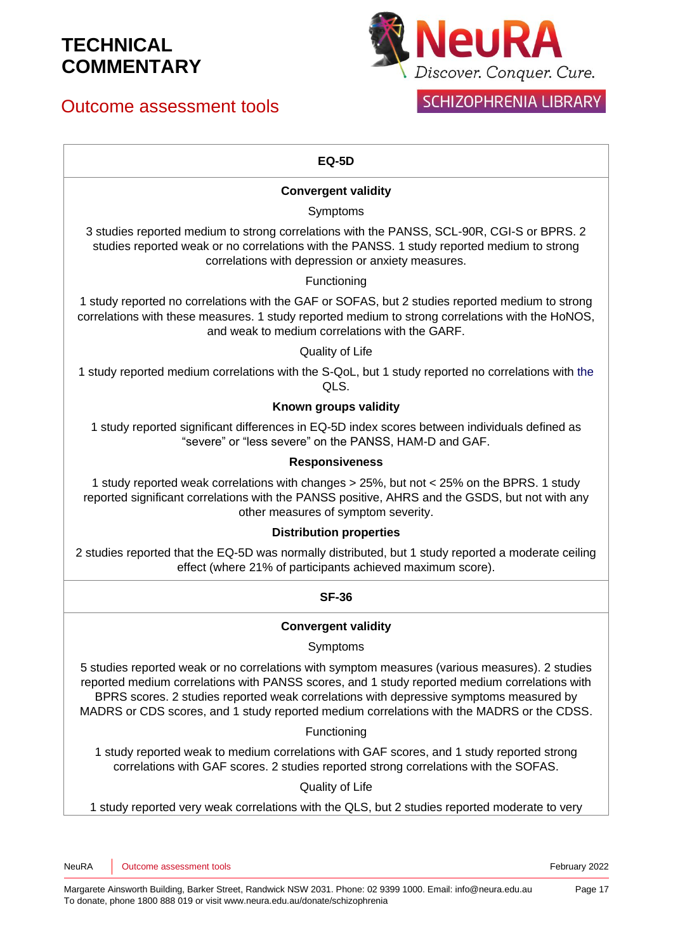## Outcome assessment tools



## **SCHIZOPHRENIA LIBRARY**

### **EQ-5D**

### **Convergent validity**

### Symptoms

3 studies reported medium to strong correlations with the PANSS, SCL-90R, CGI-S or BPRS. 2 studies reported weak or no correlations with the PANSS. 1 study reported medium to strong correlations with depression or anxiety measures.

### Functioning

1 study reported no correlations with the GAF or SOFAS, but 2 studies reported medium to strong correlations with these measures. 1 study reported medium to strong correlations with the HoNOS, and weak to medium correlations with the GARF.

#### Quality of Life

1 study reported medium correlations with the S-QoL, but 1 study reported no correlations with the QLS.

### **Known groups validity**

1 study reported significant differences in EQ-5D index scores between individuals defined as "severe" or "less severe" on the PANSS, HAM-D and GAF.

### **Responsiveness**

1 study reported weak correlations with changes > 25%, but not < 25% on the BPRS. 1 study reported significant correlations with the PANSS positive, AHRS and the GSDS, but not with any other measures of symptom severity.

#### **Distribution properties**

2 studies reported that the EQ-5D was normally distributed, but 1 study reported a moderate ceiling effect (where 21% of participants achieved maximum score).

### **SF-36**

### **Convergent validity**

#### Symptoms

5 studies reported weak or no correlations with symptom measures (various measures). 2 studies reported medium correlations with PANSS scores, and 1 study reported medium correlations with BPRS scores. 2 studies reported weak correlations with depressive symptoms measured by MADRS or CDS scores, and 1 study reported medium correlations with the MADRS or the CDSS.

#### Functioning

1 study reported weak to medium correlations with GAF scores, and 1 study reported strong correlations with GAF scores. 2 studies reported strong correlations with the SOFAS.

#### Quality of Life

1 study reported very weak correlations with the QLS, but 2 studies reported moderate to very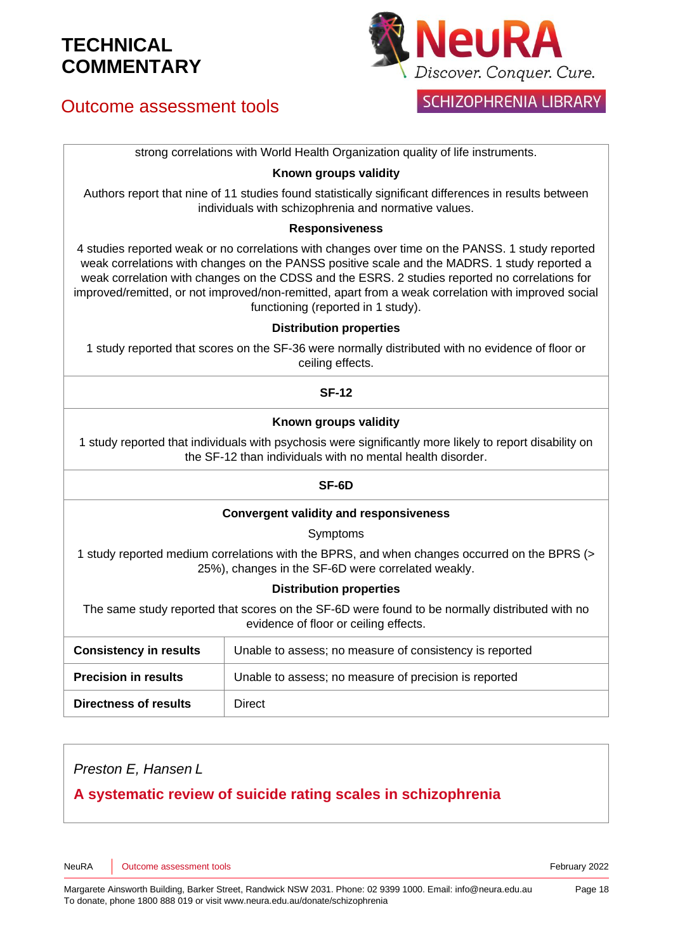## Outcome assessment tools



### **SCHIZOPHRENIA LIBRARY**

strong correlations with World Health Organization quality of life instruments.

#### **Known groups validity**

Authors report that nine of 11 studies found statistically significant differences in results between individuals with schizophrenia and normative values.

#### **Responsiveness**

4 studies reported weak or no correlations with changes over time on the PANSS. 1 study reported weak correlations with changes on the PANSS positive scale and the MADRS. 1 study reported a weak correlation with changes on the CDSS and the ESRS. 2 studies reported no correlations for improved/remitted, or not improved/non-remitted, apart from a weak correlation with improved social functioning (reported in 1 study).

#### **Distribution properties**

1 study reported that scores on the SF-36 were normally distributed with no evidence of floor or ceiling effects.

#### **SF-12**

#### **Known groups validity**

1 study reported that individuals with psychosis were significantly more likely to report disability on the SF-12 than individuals with no mental health disorder.

#### **SF-6D**

#### **Convergent validity and responsiveness**

Symptoms

1 study reported medium correlations with the BPRS, and when changes occurred on the BPRS (> 25%), changes in the SF-6D were correlated weakly.

#### **Distribution properties**

The same study reported that scores on the SF-6D were found to be normally distributed with no evidence of floor or ceiling effects.

| <b>Consistency in results</b> | Unable to assess; no measure of consistency is reported |
|-------------------------------|---------------------------------------------------------|
| <b>Precision in results</b>   | Unable to assess; no measure of precision is reported   |
| <b>Directness of results</b>  | Direct                                                  |

*Preston E, Hansen L*

### **A systematic review of suicide rating scales in schizophrenia**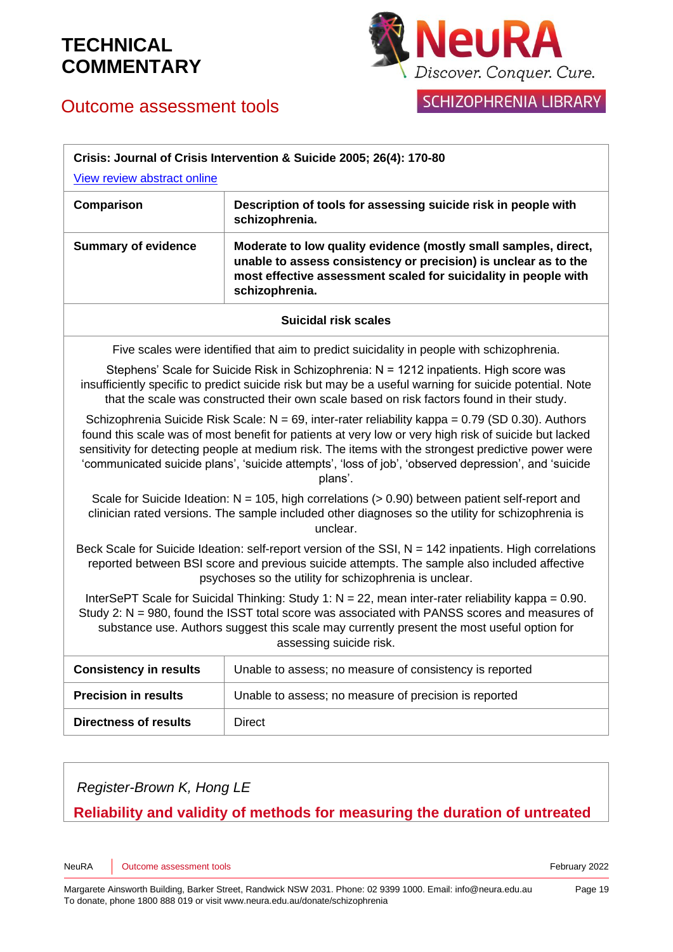

## Outcome assessment tools

| Crisis: Journal of Crisis Intervention & Suicide 2005; 26(4): 170-80                                                                                                                                                                                                                                                                                                                                                                    |                                                                                                                                                                                                                         |
|-----------------------------------------------------------------------------------------------------------------------------------------------------------------------------------------------------------------------------------------------------------------------------------------------------------------------------------------------------------------------------------------------------------------------------------------|-------------------------------------------------------------------------------------------------------------------------------------------------------------------------------------------------------------------------|
| View review abstract online                                                                                                                                                                                                                                                                                                                                                                                                             |                                                                                                                                                                                                                         |
| Comparison                                                                                                                                                                                                                                                                                                                                                                                                                              | Description of tools for assessing suicide risk in people with<br>schizophrenia.                                                                                                                                        |
| <b>Summary of evidence</b>                                                                                                                                                                                                                                                                                                                                                                                                              | Moderate to low quality evidence (mostly small samples, direct,<br>unable to assess consistency or precision) is unclear as to the<br>most effective assessment scaled for suicidality in people with<br>schizophrenia. |
| <b>Suicidal risk scales</b>                                                                                                                                                                                                                                                                                                                                                                                                             |                                                                                                                                                                                                                         |
| Five scales were identified that aim to predict suicidality in people with schizophrenia.                                                                                                                                                                                                                                                                                                                                               |                                                                                                                                                                                                                         |
| Stephens' Scale for Suicide Risk in Schizophrenia: N = 1212 inpatients. High score was<br>insufficiently specific to predict suicide risk but may be a useful warning for suicide potential. Note<br>that the scale was constructed their own scale based on risk factors found in their study.                                                                                                                                         |                                                                                                                                                                                                                         |
| Schizophrenia Suicide Risk Scale: $N = 69$ , inter-rater reliability kappa = 0.79 (SD 0.30). Authors<br>found this scale was of most benefit for patients at very low or very high risk of suicide but lacked<br>sensitivity for detecting people at medium risk. The items with the strongest predictive power were<br>'communicated suicide plans', 'suicide attempts', 'loss of job', 'observed depression', and 'suicide<br>plans'. |                                                                                                                                                                                                                         |
| Scale for Suicide Ideation: $N = 105$ , high correlations ( $> 0.90$ ) between patient self-report and<br>clinician rated versions. The sample included other diagnoses so the utility for schizophrenia is<br>unclear.                                                                                                                                                                                                                 |                                                                                                                                                                                                                         |
| Beck Scale for Suicide Ideation: self-report version of the SSI, $N = 142$ inpatients. High correlations<br>reported between BSI score and previous suicide attempts. The sample also included affective<br>psychoses so the utility for schizophrenia is unclear.                                                                                                                                                                      |                                                                                                                                                                                                                         |
| InterSePT Scale for Suicidal Thinking: Study 1: $N = 22$ , mean inter-rater reliability kappa = 0.90.<br>Study 2: N = 980, found the ISST total score was associated with PANSS scores and measures of<br>substance use. Authors suggest this scale may currently present the most useful option for<br>assessing suicide risk.                                                                                                         |                                                                                                                                                                                                                         |
| <b>Consistency in results</b>                                                                                                                                                                                                                                                                                                                                                                                                           | Unable to assess; no measure of consistency is reported                                                                                                                                                                 |
| <b>Precision in results</b>                                                                                                                                                                                                                                                                                                                                                                                                             | Unable to assess; no measure of precision is reported                                                                                                                                                                   |
| <b>Directness of results</b>                                                                                                                                                                                                                                                                                                                                                                                                            | <b>Direct</b>                                                                                                                                                                                                           |

*Register-Brown K, Hong LE*

### **Reliability and validity of methods for measuring the duration of untreated**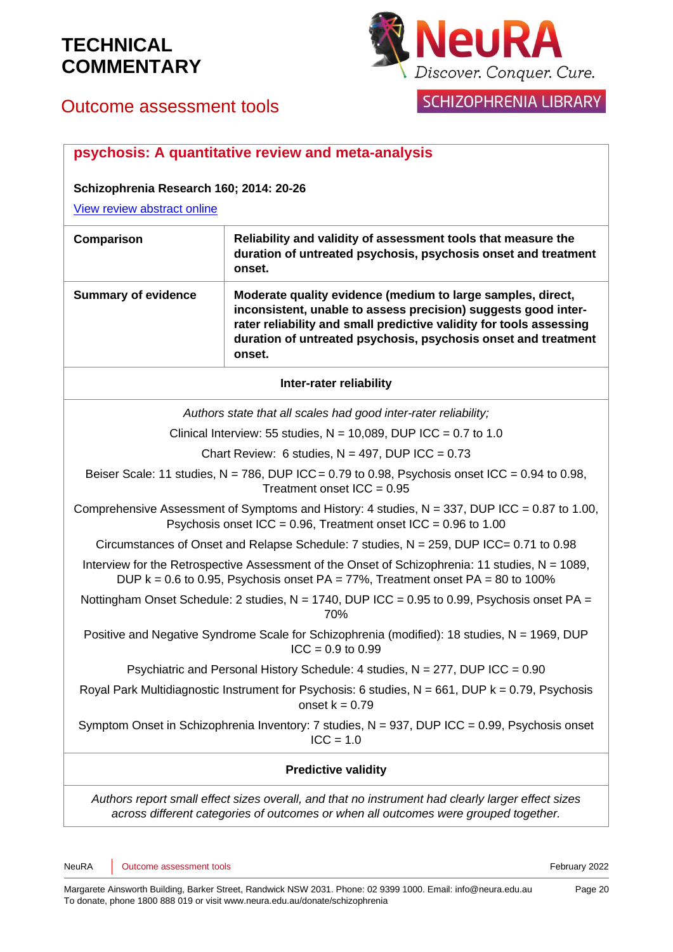

## SCHIZOPHRENIA LIBRARY

## Outcome assessment tools

|                                                                                                                                                                                          | psychosis: A quantitative review and meta-analysis                                                                                                                                                                                                                               |
|------------------------------------------------------------------------------------------------------------------------------------------------------------------------------------------|----------------------------------------------------------------------------------------------------------------------------------------------------------------------------------------------------------------------------------------------------------------------------------|
| Schizophrenia Research 160; 2014: 20-26                                                                                                                                                  |                                                                                                                                                                                                                                                                                  |
| View review abstract online                                                                                                                                                              |                                                                                                                                                                                                                                                                                  |
| Comparison                                                                                                                                                                               | Reliability and validity of assessment tools that measure the<br>duration of untreated psychosis, psychosis onset and treatment<br>onset.                                                                                                                                        |
| <b>Summary of evidence</b>                                                                                                                                                               | Moderate quality evidence (medium to large samples, direct,<br>inconsistent, unable to assess precision) suggests good inter-<br>rater reliability and small predictive validity for tools assessing<br>duration of untreated psychosis, psychosis onset and treatment<br>onset. |
| Inter-rater reliability                                                                                                                                                                  |                                                                                                                                                                                                                                                                                  |
|                                                                                                                                                                                          | Authors state that all scales had good inter-rater reliability;                                                                                                                                                                                                                  |
|                                                                                                                                                                                          | Clinical Interview: 55 studies, $N = 10,089$ , DUP ICC = 0.7 to 1.0                                                                                                                                                                                                              |
| Chart Review: 6 studies, $N = 497$ , DUP ICC = 0.73                                                                                                                                      |                                                                                                                                                                                                                                                                                  |
| Beiser Scale: 11 studies, $N = 786$ , DUP ICC = 0.79 to 0.98, Psychosis onset ICC = 0.94 to 0.98,<br>Treatment onset $ICC = 0.95$                                                        |                                                                                                                                                                                                                                                                                  |
| Comprehensive Assessment of Symptoms and History: 4 studies, $N = 337$ , DUP ICC = 0.87 to 1.00,<br>Psychosis onset ICC = $0.96$ , Treatment onset ICC = $0.96$ to 1.00                  |                                                                                                                                                                                                                                                                                  |
| Circumstances of Onset and Relapse Schedule: 7 studies, N = 259, DUP ICC= 0.71 to 0.98                                                                                                   |                                                                                                                                                                                                                                                                                  |
| Interview for the Retrospective Assessment of the Onset of Schizophrenia: 11 studies, $N = 1089$ ,<br>DUP $k = 0.6$ to 0.95, Psychosis onset PA = 77%, Treatment onset PA = 80 to 100%   |                                                                                                                                                                                                                                                                                  |
| Nottingham Onset Schedule: 2 studies, N = 1740, DUP ICC = 0.95 to 0.99, Psychosis onset PA =<br>70%                                                                                      |                                                                                                                                                                                                                                                                                  |
| Positive and Negative Syndrome Scale for Schizophrenia (modified): 18 studies, N = 1969, DUP<br>$ICC = 0.9$ to 0.99                                                                      |                                                                                                                                                                                                                                                                                  |
| Psychiatric and Personal History Schedule: 4 studies, N = 277, DUP ICC = 0.90                                                                                                            |                                                                                                                                                                                                                                                                                  |
| Royal Park Multidiagnostic Instrument for Psychosis: 6 studies, $N = 661$ , DUP $k = 0.79$ , Psychosis<br>onset $k = 0.79$                                                               |                                                                                                                                                                                                                                                                                  |
| Symptom Onset in Schizophrenia Inventory: 7 studies, $N = 937$ , DUP ICC = 0.99, Psychosis onset<br>$ICC = 1.0$                                                                          |                                                                                                                                                                                                                                                                                  |
| <b>Predictive validity</b>                                                                                                                                                               |                                                                                                                                                                                                                                                                                  |
| Authors report small effect sizes overall, and that no instrument had clearly larger effect sizes<br>across different categories of outcomes or when all outcomes were grouped together. |                                                                                                                                                                                                                                                                                  |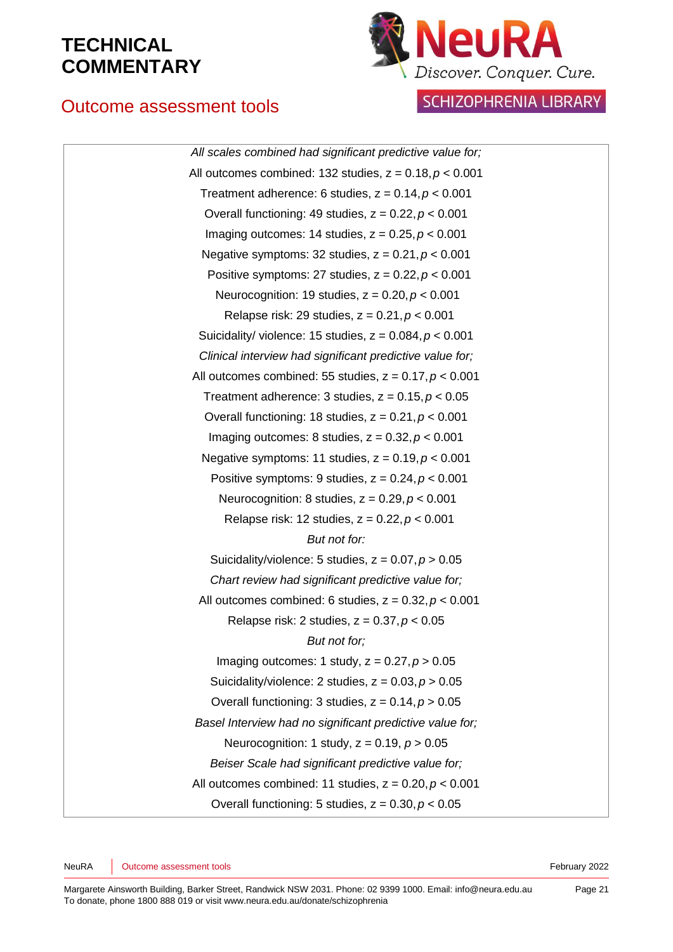## Outcome assessment tools



**SCHIZOPHRENIA LIBRARY** 

*All scales combined had significant predictive value for;* All outcomes combined: 132 studies, z = 0.18,*p* < 0.001 Treatment adherence: 6 studies, z = 0.14,*p* < 0.001 Overall functioning: 49 studies, z = 0.22,*p* < 0.001 Imaging outcomes: 14 studies, z = 0.25,*p* < 0.001 Negative symptoms: 32 studies, z = 0.21,*p* < 0.001 Positive symptoms: 27 studies, z = 0.22,*p* < 0.001 Neurocognition: 19 studies, z = 0.20,*p* < 0.001 Relapse risk: 29 studies, z = 0.21,*p* < 0.001 Suicidality/ violence: 15 studies, z = 0.084,*p* < 0.001 *Clinical interview had significant predictive value for;* All outcomes combined: 55 studies, z = 0.17,*p* < 0.001 Treatment adherence:  $3$  studies,  $z = 0.15$ ,  $p < 0.05$ Overall functioning: 18 studies, z = 0.21,*p* < 0.001 Imaging outcomes: 8 studies, z = 0.32,*p* < 0.001 Negative symptoms: 11 studies, z = 0.19,*p* < 0.001 Positive symptoms: 9 studies, z = 0.24,*p* < 0.001 Neurocognition: 8 studies, z = 0.29,*p* < 0.001 Relapse risk: 12 studies, z = 0.22,*p* < 0.001 *But not for:* Suicidality/violence: 5 studies, z = 0.07,*p* > 0.05 *Chart review had significant predictive value for;* All outcomes combined: 6 studies, z = 0.32,*p* < 0.001 Relapse risk: 2 studies, z = 0.37,*p* < 0.05 *But not for;* Imaging outcomes: 1 study, z = 0.27,*p* > 0.05 Suicidality/violence: 2 studies, z = 0.03,*p* > 0.05 Overall functioning: 3 studies, z = 0.14,*p* > 0.05 *Basel Interview had no significant predictive value for;* Neurocognition: 1 study, z = 0.19, *p* > 0.05 *Beiser Scale had significant predictive value for;* All outcomes combined: 11 studies, z = 0.20,*p* < 0.001 Overall functioning: 5 studies, z = 0.30,*p* < 0.05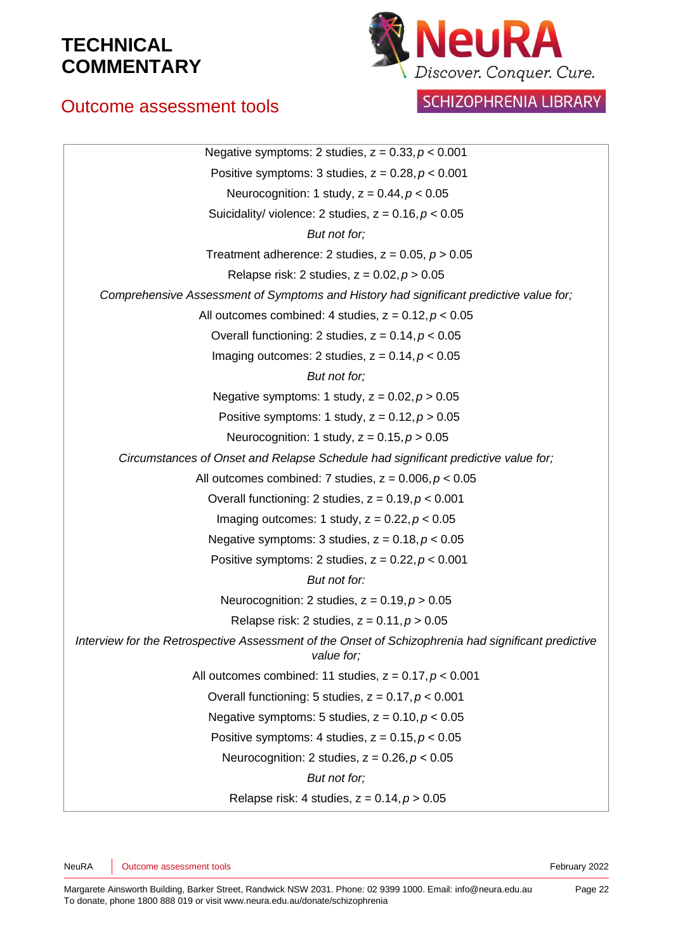## Outcome assessment tools



## SCHIZOPHRENIA LIBRARY

| Negative symptoms: 2 studies, $z = 0.33$ , $p < 0.001$                                                            |
|-------------------------------------------------------------------------------------------------------------------|
| Positive symptoms: 3 studies, $z = 0.28$ , $p < 0.001$                                                            |
| Neurocognition: 1 study, $z = 0.44$ , $p < 0.05$                                                                  |
| Suicidality/ violence: 2 studies, $z = 0.16$ , $p < 0.05$                                                         |
| But not for;                                                                                                      |
| Treatment adherence: 2 studies, $z = 0.05$ , $p > 0.05$                                                           |
| Relapse risk: 2 studies, $z = 0.02$ , $p > 0.05$                                                                  |
| Comprehensive Assessment of Symptoms and History had significant predictive value for;                            |
| All outcomes combined: 4 studies, $z = 0.12$ , $p < 0.05$                                                         |
| Overall functioning: 2 studies, $z = 0.14$ , $p < 0.05$                                                           |
| Imaging outcomes: 2 studies, $z = 0.14$ , $p < 0.05$                                                              |
| But not for;                                                                                                      |
| Negative symptoms: 1 study, $z = 0.02$ , $p > 0.05$                                                               |
| Positive symptoms: 1 study, $z = 0.12$ , $p > 0.05$                                                               |
| Neurocognition: 1 study, $z = 0.15$ , $p > 0.05$                                                                  |
| Circumstances of Onset and Relapse Schedule had significant predictive value for;                                 |
| All outcomes combined: 7 studies, $z = 0.006$ , $p < 0.05$                                                        |
| Overall functioning: 2 studies, $z = 0.19$ , $p < 0.001$                                                          |
| Imaging outcomes: 1 study, $z = 0.22$ , $p < 0.05$                                                                |
| Negative symptoms: 3 studies, $z = 0.18$ , $p < 0.05$                                                             |
| Positive symptoms: 2 studies, $z = 0.22$ , $p < 0.001$                                                            |
| But not for:                                                                                                      |
| Neurocognition: 2 studies, $z = 0.19$ , $p > 0.05$                                                                |
| Relapse risk: 2 studies, $z = 0.11$ , $p > 0.05$                                                                  |
| Interview for the Retrospective Assessment of the Onset of Schizophrenia had significant predictive<br>value for; |
| All outcomes combined: 11 studies, $z = 0.17$ , $p < 0.001$                                                       |
| Overall functioning: 5 studies, $z = 0.17$ , $p < 0.001$                                                          |
| Negative symptoms: 5 studies, $z = 0.10$ , $p < 0.05$                                                             |
| Positive symptoms: 4 studies, $z = 0.15$ , $p < 0.05$                                                             |
| Neurocognition: 2 studies, $z = 0.26$ , $p < 0.05$                                                                |
| But not for;                                                                                                      |
| Relapse risk: 4 studies, $z = 0.14$ , $p > 0.05$                                                                  |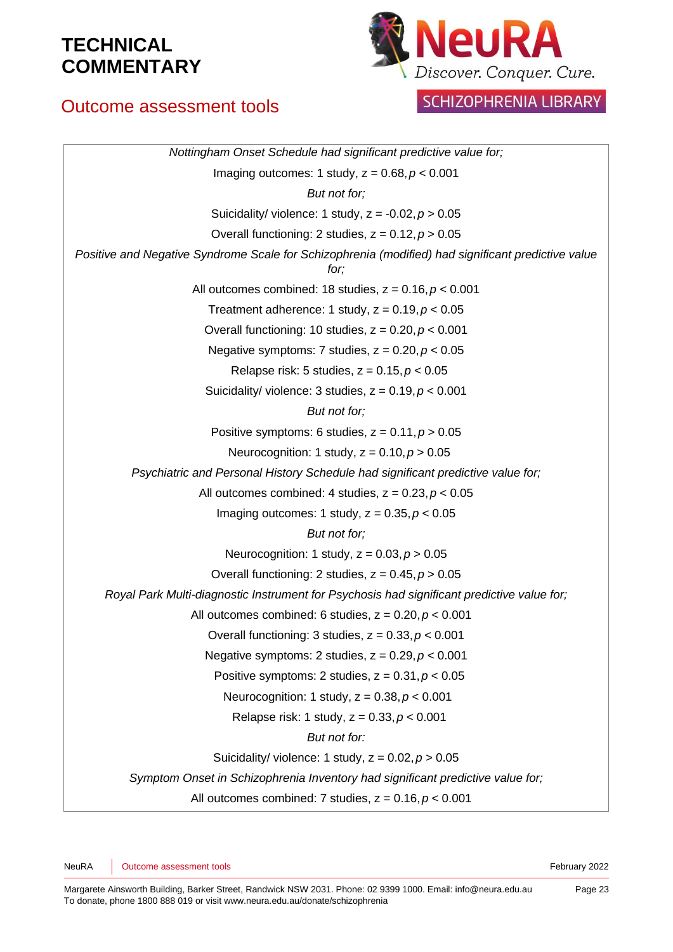## Outcome assessment tools



SCHIZOPHRENIA LIBRARY

| Nottingham Onset Schedule had significant predictive value for;                                            |  |  |
|------------------------------------------------------------------------------------------------------------|--|--|
| Imaging outcomes: 1 study, $z = 0.68$ , $p < 0.001$                                                        |  |  |
| But not for;                                                                                               |  |  |
| Suicidality/ violence: 1 study, $z = -0.02$ , $p > 0.05$                                                   |  |  |
| Overall functioning: 2 studies, $z = 0.12$ , $p > 0.05$                                                    |  |  |
| Positive and Negative Syndrome Scale for Schizophrenia (modified) had significant predictive value<br>for; |  |  |
| All outcomes combined: 18 studies, $z = 0.16$ , $p < 0.001$                                                |  |  |
| Treatment adherence: 1 study, $z = 0.19$ , $p < 0.05$                                                      |  |  |
| Overall functioning: 10 studies, $z = 0.20$ , $p < 0.001$                                                  |  |  |
| Negative symptoms: 7 studies, $z = 0.20$ , $p < 0.05$                                                      |  |  |
| Relapse risk: 5 studies, $z = 0.15$ , $p < 0.05$                                                           |  |  |
| Suicidality/ violence: 3 studies, $z = 0.19$ , $p < 0.001$                                                 |  |  |
| But not for;                                                                                               |  |  |
| Positive symptoms: 6 studies, $z = 0.11$ , $p > 0.05$                                                      |  |  |
| Neurocognition: 1 study, $z = 0.10$ , $p > 0.05$                                                           |  |  |
| Psychiatric and Personal History Schedule had significant predictive value for;                            |  |  |
| All outcomes combined: 4 studies, $z = 0.23$ , $p < 0.05$                                                  |  |  |
| Imaging outcomes: 1 study, $z = 0.35$ , $p < 0.05$                                                         |  |  |
| But not for;                                                                                               |  |  |
| Neurocognition: 1 study, $z = 0.03$ , $p > 0.05$                                                           |  |  |
| Overall functioning: 2 studies, $z = 0.45$ , $p > 0.05$                                                    |  |  |
| Royal Park Multi-diagnostic Instrument for Psychosis had significant predictive value for;                 |  |  |
| All outcomes combined: 6 studies, $z = 0.20$ , $p < 0.001$                                                 |  |  |
| Overall functioning: 3 studies, $z = 0.33$ , $p < 0.001$                                                   |  |  |
| Negative symptoms: 2 studies, $z = 0.29$ , $p < 0.001$                                                     |  |  |
| Positive symptoms: 2 studies, $z = 0.31$ , $p < 0.05$                                                      |  |  |
| Neurocognition: 1 study, $z = 0.38$ , $p < 0.001$                                                          |  |  |
| Relapse risk: 1 study, $z = 0.33$ , $p < 0.001$                                                            |  |  |
| But not for:                                                                                               |  |  |
| Suicidality/ violence: 1 study, $z = 0.02$ , $p > 0.05$                                                    |  |  |
| Symptom Onset in Schizophrenia Inventory had significant predictive value for;                             |  |  |
| All outcomes combined: 7 studies, $z = 0.16$ , $p < 0.001$                                                 |  |  |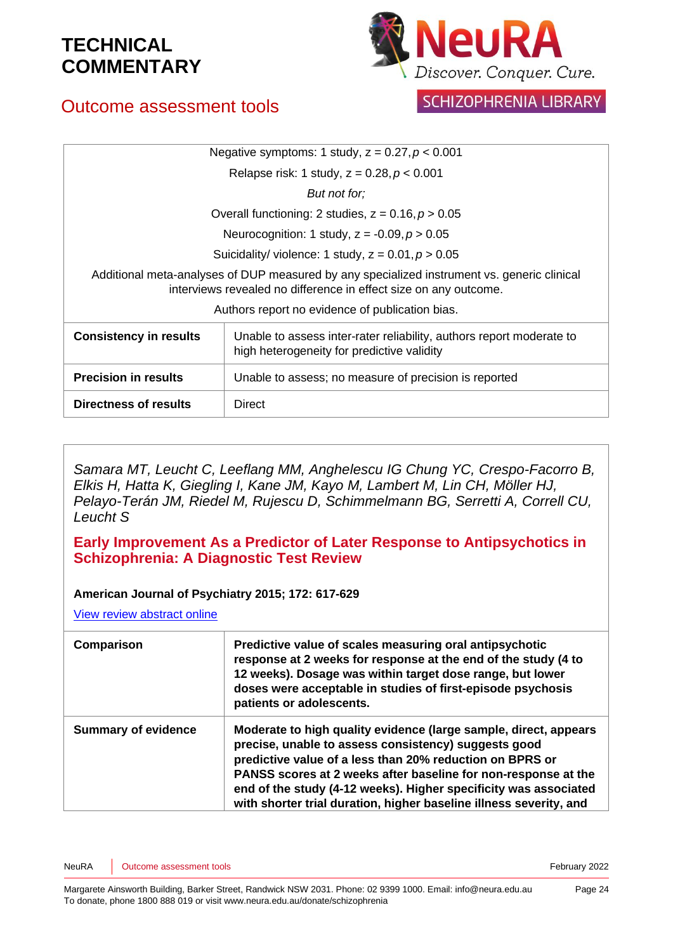

## Outcome assessment tools

**SCHIZOPHRENIA LIBRARY** 

| Negative symptoms: 1 study, $z = 0.27$ , $p < 0.001$                                                                                                            |                                                                                                                    |  |
|-----------------------------------------------------------------------------------------------------------------------------------------------------------------|--------------------------------------------------------------------------------------------------------------------|--|
| Relapse risk: 1 study, $z = 0.28$ , $p < 0.001$                                                                                                                 |                                                                                                                    |  |
| But not for:                                                                                                                                                    |                                                                                                                    |  |
| Overall functioning: 2 studies, $z = 0.16$ , $p > 0.05$                                                                                                         |                                                                                                                    |  |
| Neurocognition: 1 study, $z = -0.09$ , $p > 0.05$                                                                                                               |                                                                                                                    |  |
| Suicidality/ violence: 1 study, $z = 0.01$ , $p > 0.05$                                                                                                         |                                                                                                                    |  |
| Additional meta-analyses of DUP measured by any specialized instrument vs. generic clinical<br>interviews revealed no difference in effect size on any outcome. |                                                                                                                    |  |
| Authors report no evidence of publication bias.                                                                                                                 |                                                                                                                    |  |
| <b>Consistency in results</b>                                                                                                                                   | Unable to assess inter-rater reliability, authors report moderate to<br>high heterogeneity for predictive validity |  |
| <b>Precision in results</b>                                                                                                                                     | Unable to assess; no measure of precision is reported                                                              |  |
| Directness of results                                                                                                                                           | Direct                                                                                                             |  |

*Samara MT, Leucht C, Leeflang MM, Anghelescu IG Chung YC, Crespo-Facorro B, Elkis H, Hatta K, Giegling I, Kane JM, Kayo M, Lambert M, Lin CH, Möller HJ, Pelayo-Terán JM, Riedel M, Rujescu D, Schimmelmann BG, Serretti A, Correll CU, Leucht S*

**Early Improvement As a Predictor of Later Response to Antipsychotics in Schizophrenia: A Diagnostic Test Review**

#### **American Journal of Psychiatry 2015; 172: 617-629**

| Comparison                 | Predictive value of scales measuring oral antipsychotic<br>response at 2 weeks for response at the end of the study (4 to<br>12 weeks). Dosage was within target dose range, but lower<br>doses were acceptable in studies of first-episode psychosis<br>patients or adolescents.                                                                                                                |
|----------------------------|--------------------------------------------------------------------------------------------------------------------------------------------------------------------------------------------------------------------------------------------------------------------------------------------------------------------------------------------------------------------------------------------------|
| <b>Summary of evidence</b> | Moderate to high quality evidence (large sample, direct, appears<br>precise, unable to assess consistency) suggests good<br>predictive value of a less than 20% reduction on BPRS or<br>PANSS scores at 2 weeks after baseline for non-response at the<br>end of the study (4-12 weeks). Higher specificity was associated<br>with shorter trial duration, higher baseline illness severity, and |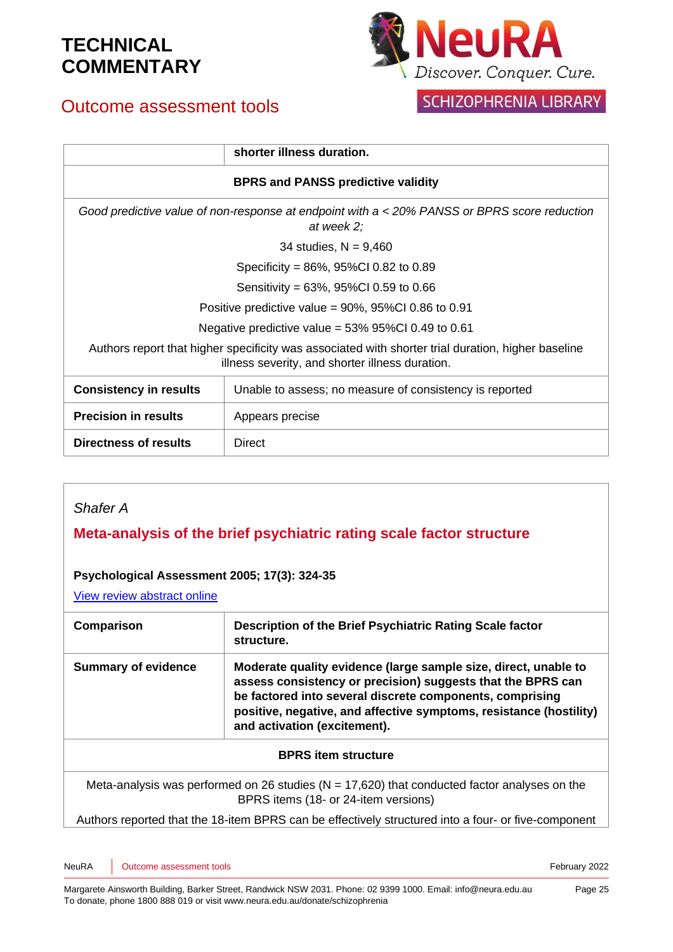## Outcome assessment tools



## SCHIZOPHRENIA LIBRARY

|                                                                                                                                                       | shorter illness duration.                               |  |
|-------------------------------------------------------------------------------------------------------------------------------------------------------|---------------------------------------------------------|--|
| <b>BPRS and PANSS predictive validity</b>                                                                                                             |                                                         |  |
| Good predictive value of non-response at endpoint with a < 20% PANSS or BPRS score reduction<br>at week 2;                                            |                                                         |  |
| 34 studies, $N = 9,460$                                                                                                                               |                                                         |  |
| Specificity = $86\%$ , $95\%$ CI 0.82 to 0.89                                                                                                         |                                                         |  |
| Sensitivity = $63\%$ , $95\%$ CI 0.59 to 0.66                                                                                                         |                                                         |  |
| Positive predictive value = $90\%$ , $95\%$ Cl 0.86 to 0.91                                                                                           |                                                         |  |
| Negative predictive value = $53\%$ 95%Cl 0.49 to 0.61                                                                                                 |                                                         |  |
| Authors report that higher specificity was associated with shorter trial duration, higher baseline<br>illness severity, and shorter illness duration. |                                                         |  |
| <b>Consistency in results</b>                                                                                                                         | Unable to assess; no measure of consistency is reported |  |
| <b>Precision in results</b>                                                                                                                           | Appears precise                                         |  |
| <b>Directness of results</b>                                                                                                                          | Direct                                                  |  |

### *Shafer A*

### **Meta-analysis of the brief psychiatric rating scale factor structure**

### **Psychological Assessment 2005; 17(3): 324-35**

| Comparison                 | Description of the Brief Psychiatric Rating Scale factor<br>structure.                                                                                                                                                                                                                           |
|----------------------------|--------------------------------------------------------------------------------------------------------------------------------------------------------------------------------------------------------------------------------------------------------------------------------------------------|
| <b>Summary of evidence</b> | Moderate quality evidence (large sample size, direct, unable to<br>assess consistency or precision) suggests that the BPRS can<br>be factored into several discrete components, comprising<br>positive, negative, and affective symptoms, resistance (hostility)<br>and activation (excitement). |
|                            | <b>BPRS</b> item structure                                                                                                                                                                                                                                                                       |
|                            | Meta-analysis was performed on 26 studies ( $N = 17,620$ ) that conducted factor analyses on the<br>BPRS items (18- or 24-item versions)                                                                                                                                                         |
|                            | Authors reported that the 18-item BPRS can be effectively structured into a four- or five-component                                                                                                                                                                                              |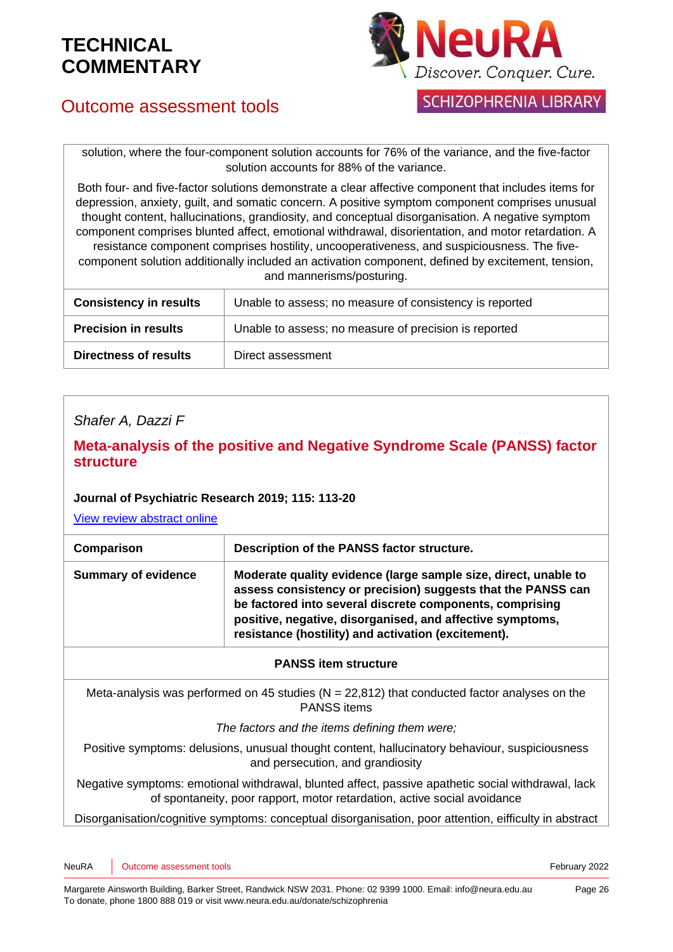

## Outcome assessment tools

**SCHIZOPHRENIA LIBRARY** 

solution, where the four-component solution accounts for 76% of the variance, and the five-factor solution accounts for 88% of the variance.

Both four- and five-factor solutions demonstrate a clear affective component that includes items for depression, anxiety, guilt, and somatic concern. A positive symptom component comprises unusual thought content, hallucinations, grandiosity, and conceptual disorganisation. A negative symptom component comprises blunted affect, emotional withdrawal, disorientation, and motor retardation. A resistance component comprises hostility, uncooperativeness, and suspiciousness. The fivecomponent solution additionally included an activation component, defined by excitement, tension, and mannerisms/posturing.

| <b>Consistency in results</b> | Unable to assess; no measure of consistency is reported |
|-------------------------------|---------------------------------------------------------|
| <b>Precision in results</b>   | Unable to assess; no measure of precision is reported   |
| <b>Directness of results</b>  | Direct assessment                                       |

### *Shafer A, Dazzi F*

### **Meta-analysis of the positive and Negative Syndrome Scale (PANSS) factor structure**

#### **Journal of Psychiatric Research 2019; 115: 113-20**

[View review abstract online](https://pubmed.ncbi.nlm.nih.gov/31128501/)

| Comparison                 | Description of the PANSS factor structure.                                                                                                                                                                                                                                                                      |
|----------------------------|-----------------------------------------------------------------------------------------------------------------------------------------------------------------------------------------------------------------------------------------------------------------------------------------------------------------|
| <b>Summary of evidence</b> | Moderate quality evidence (large sample size, direct, unable to<br>assess consistency or precision) suggests that the PANSS can<br>be factored into several discrete components, comprising<br>positive, negative, disorganised, and affective symptoms,<br>resistance (hostility) and activation (excitement). |

#### **PANSS item structure**

Meta-analysis was performed on 45 studies ( $N = 22,812$ ) that conducted factor analyses on the PANSS items

#### *The factors and the items defining them were;*

Positive symptoms: delusions, unusual thought content, hallucinatory behaviour, suspiciousness and persecution, and grandiosity

Negative symptoms: emotional withdrawal, blunted affect, passive apathetic social withdrawal, lack of spontaneity, poor rapport, motor retardation, active social avoidance

Disorganisation/cognitive symptoms: conceptual disorganisation, poor attention, eifficulty in abstract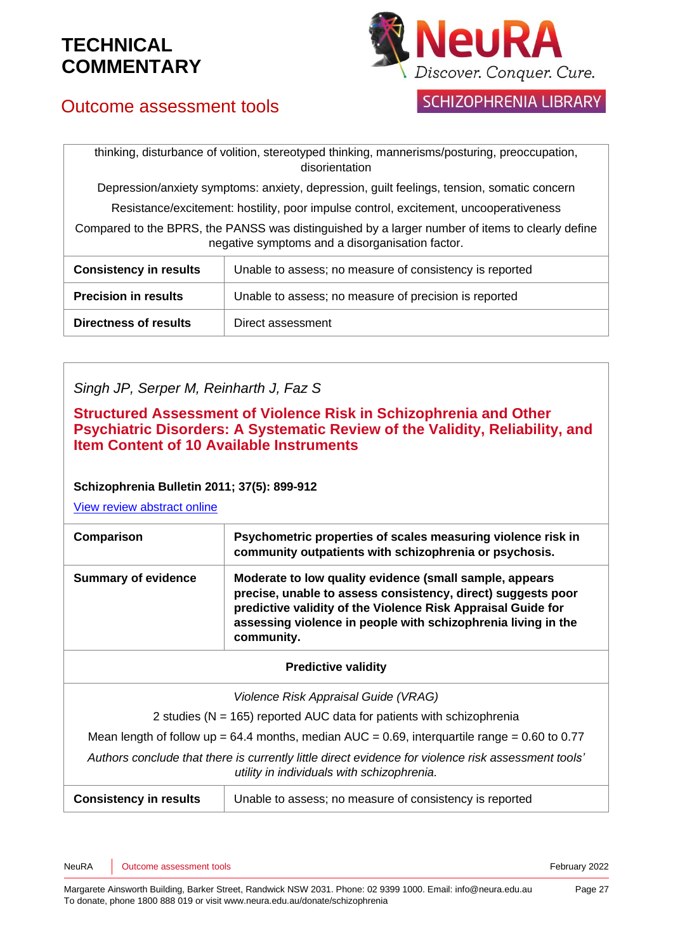

## Outcome assessment tools

### **SCHIZOPHRENIA LIBRARY**

thinking, disturbance of volition, stereotyped thinking, mannerisms/posturing, preoccupation, disorientation

Depression/anxiety symptoms: anxiety, depression, guilt feelings, tension, somatic concern

Resistance/excitement: hostility, poor impulse control, excitement, uncooperativeness

Compared to the BPRS, the PANSS was distinguished by a larger number of items to clearly define negative symptoms and a disorganisation factor.

| <b>Consistency in results</b> | Unable to assess; no measure of consistency is reported |
|-------------------------------|---------------------------------------------------------|
| <b>Precision in results</b>   | Unable to assess; no measure of precision is reported   |
| <b>Directness of results</b>  | Direct assessment                                       |

### *Singh JP, Serper M, Reinharth J, Faz S*

**Structured Assessment of Violence Risk in Schizophrenia and Other Psychiatric Disorders: A Systematic Review of the Validity, Reliability, and Item Content of 10 Available Instruments**

### **Schizophrenia Bulletin 2011; 37(5): 899-912**

| Comparison                                                                                                                                        | Psychometric properties of scales measuring violence risk in<br>community outpatients with schizophrenia or psychosis.                                                                                                                                                 |  |
|---------------------------------------------------------------------------------------------------------------------------------------------------|------------------------------------------------------------------------------------------------------------------------------------------------------------------------------------------------------------------------------------------------------------------------|--|
| <b>Summary of evidence</b>                                                                                                                        | Moderate to low quality evidence (small sample, appears<br>precise, unable to assess consistency, direct) suggests poor<br>predictive validity of the Violence Risk Appraisal Guide for<br>assessing violence in people with schizophrenia living in the<br>community. |  |
| <b>Predictive validity</b>                                                                                                                        |                                                                                                                                                                                                                                                                        |  |
| Violence Risk Appraisal Guide (VRAG)                                                                                                              |                                                                                                                                                                                                                                                                        |  |
| 2 studies ( $N = 165$ ) reported AUC data for patients with schizophrenia                                                                         |                                                                                                                                                                                                                                                                        |  |
| Mean length of follow up = 64.4 months, median $AUC = 0.69$ , interquartile range = 0.60 to 0.77                                                  |                                                                                                                                                                                                                                                                        |  |
| Authors conclude that there is currently little direct evidence for violence risk assessment tools'<br>utility in individuals with schizophrenia. |                                                                                                                                                                                                                                                                        |  |
| <b>Consistency in results</b>                                                                                                                     | Unable to assess; no measure of consistency is reported                                                                                                                                                                                                                |  |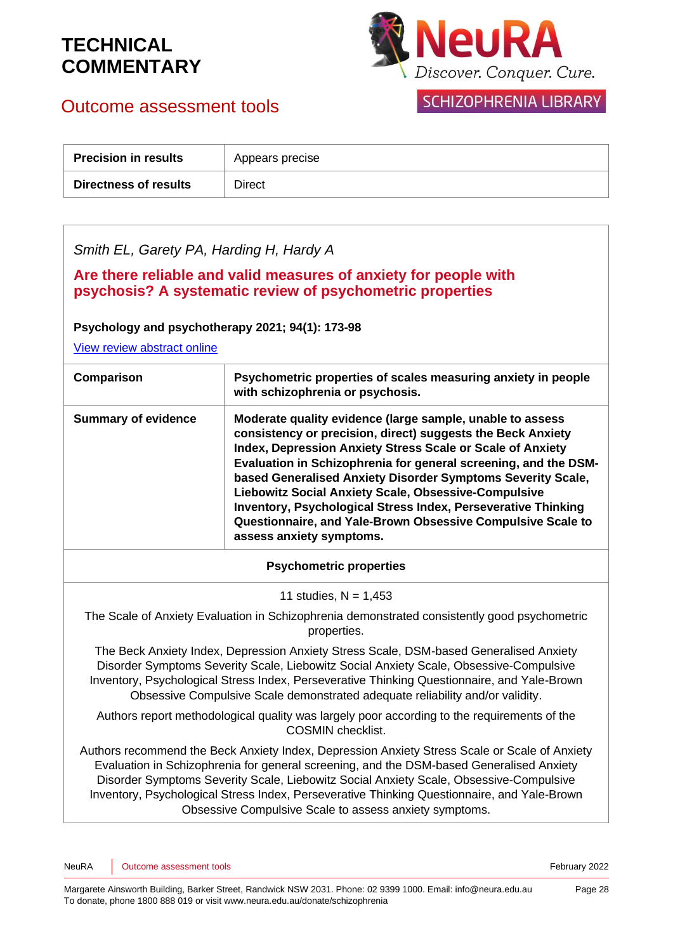Outcome assessment tools



### **SCHIZOPHRENIA LIBRARY**

| <b>Precision in results</b> | Appears precise |
|-----------------------------|-----------------|
| Directness of results       | Direct          |

*Smith EL, Garety PA, Harding H, Hardy A*

**Are there reliable and valid measures of anxiety for people with psychosis? A systematic review of psychometric properties**

**Psychology and psychotherapy 2021; 94(1): 173-98**

[View review abstract online](https://pubmed.ncbi.nlm.nih.gov/31880406/#:~:text=Reported%20psychometric%20properties%20for%2017,demonstrated%20consistently%20good%20psychometric%20properties.)

| Comparison                 | Psychometric properties of scales measuring anxiety in people<br>with schizophrenia or psychosis.                                                                                                                                                                                                                                                                                                                                                                                                                                            |
|----------------------------|----------------------------------------------------------------------------------------------------------------------------------------------------------------------------------------------------------------------------------------------------------------------------------------------------------------------------------------------------------------------------------------------------------------------------------------------------------------------------------------------------------------------------------------------|
| <b>Summary of evidence</b> | Moderate quality evidence (large sample, unable to assess<br>consistency or precision, direct) suggests the Beck Anxiety<br>Index, Depression Anxiety Stress Scale or Scale of Anxiety<br>Evaluation in Schizophrenia for general screening, and the DSM-<br>based Generalised Anxiety Disorder Symptoms Severity Scale,<br>Liebowitz Social Anxiety Scale, Obsessive-Compulsive<br>Inventory, Psychological Stress Index, Perseverative Thinking<br>Questionnaire, and Yale-Brown Obsessive Compulsive Scale to<br>assess anxiety symptoms. |

#### **Psychometric properties**

11 studies,  $N = 1,453$ 

The Scale of Anxiety Evaluation in Schizophrenia demonstrated consistently good psychometric properties.

The Beck Anxiety Index, Depression Anxiety Stress Scale, DSM-based Generalised Anxiety Disorder Symptoms Severity Scale, Liebowitz Social Anxiety Scale, Obsessive-Compulsive Inventory, Psychological Stress Index, Perseverative Thinking Questionnaire, and Yale-Brown Obsessive Compulsive Scale demonstrated adequate reliability and/or validity.

Authors report methodological quality was largely poor according to the requirements of the COSMIN checklist.

Authors recommend the Beck Anxiety Index, Depression Anxiety Stress Scale or Scale of Anxiety Evaluation in Schizophrenia for general screening, and the DSM-based Generalised Anxiety Disorder Symptoms Severity Scale, Liebowitz Social Anxiety Scale, Obsessive-Compulsive Inventory, Psychological Stress Index, Perseverative Thinking Questionnaire, and Yale-Brown Obsessive Compulsive Scale to assess anxiety symptoms.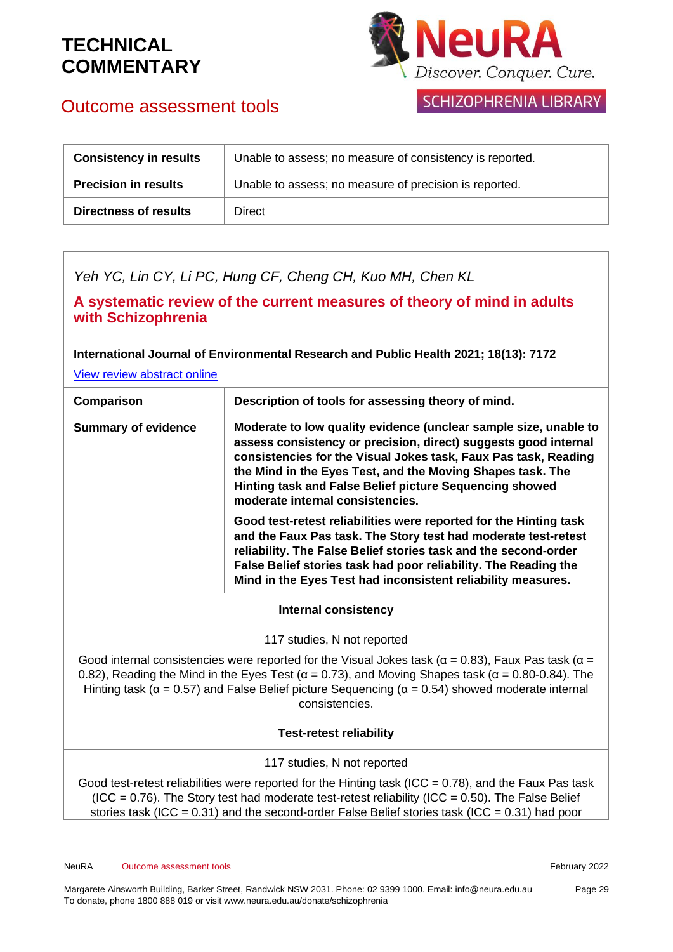Outcome assessment tools



### SCHIZOPHRENIA LIBRARY

| <b>Consistency in results</b> | Unable to assess; no measure of consistency is reported. |
|-------------------------------|----------------------------------------------------------|
| <b>Precision in results</b>   | Unable to assess; no measure of precision is reported.   |
| <b>Directness of results</b>  | Direct                                                   |

*Yeh YC, Lin CY, Li PC, Hung CF, Cheng CH, Kuo MH, Chen KL*

**A systematic review of the current measures of theory of mind in adults with Schizophrenia**

**International Journal of Environmental Research and Public Health 2021; 18(13): 7172**

[View review abstract online](https://www.mdpi.com/1660-4601/18/13/7172)

| Comparison                                                                                                                                                                                                                                                                                                                                                                  | Description of tools for assessing theory of mind.                                                                                                                                                                                                                                                                                                                  |
|-----------------------------------------------------------------------------------------------------------------------------------------------------------------------------------------------------------------------------------------------------------------------------------------------------------------------------------------------------------------------------|---------------------------------------------------------------------------------------------------------------------------------------------------------------------------------------------------------------------------------------------------------------------------------------------------------------------------------------------------------------------|
| <b>Summary of evidence</b>                                                                                                                                                                                                                                                                                                                                                  | Moderate to low quality evidence (unclear sample size, unable to<br>assess consistency or precision, direct) suggests good internal<br>consistencies for the Visual Jokes task, Faux Pas task, Reading<br>the Mind in the Eyes Test, and the Moving Shapes task. The<br>Hinting task and False Belief picture Sequencing showed<br>moderate internal consistencies. |
|                                                                                                                                                                                                                                                                                                                                                                             | Good test-retest reliabilities were reported for the Hinting task<br>and the Faux Pas task. The Story test had moderate test-retest<br>reliability. The False Belief stories task and the second-order<br>False Belief stories task had poor reliability. The Reading the<br>Mind in the Eyes Test had inconsistent reliability measures.                           |
| Internal consistency                                                                                                                                                                                                                                                                                                                                                        |                                                                                                                                                                                                                                                                                                                                                                     |
| 117 studies, N not reported                                                                                                                                                                                                                                                                                                                                                 |                                                                                                                                                                                                                                                                                                                                                                     |
| Good internal consistencies were reported for the Visual Jokes task ( $\alpha$ = 0.83), Faux Pas task ( $\alpha$ =<br>0.82), Reading the Mind in the Eyes Test ( $\alpha$ = 0.73), and Moving Shapes task ( $\alpha$ = 0.80-0.84). The<br>Hinting task ( $\alpha$ = 0.57) and False Belief picture Sequencing ( $\alpha$ = 0.54) showed moderate internal<br>consistencies. |                                                                                                                                                                                                                                                                                                                                                                     |
| <b>Test-retest reliability</b>                                                                                                                                                                                                                                                                                                                                              |                                                                                                                                                                                                                                                                                                                                                                     |
|                                                                                                                                                                                                                                                                                                                                                                             | 117 studies, N not reported                                                                                                                                                                                                                                                                                                                                         |
|                                                                                                                                                                                                                                                                                                                                                                             | Good test-retest reliabilities were reported for the Hinting task (ICC = $0.78$ ), and the Faux Pas task<br>$(100 - 0.76)$ The Cterutest had moderate test reteat religibility $(100 - 0.50)$ The Felse Deliat                                                                                                                                                      |

 $(ICC = 0.76)$ . The Story test had moderate test-retest reliability  $(ICC = 0.50)$ . The False Belief stories task (ICC = 0.31) and the second-order False Belief stories task (ICC = 0.31) had poor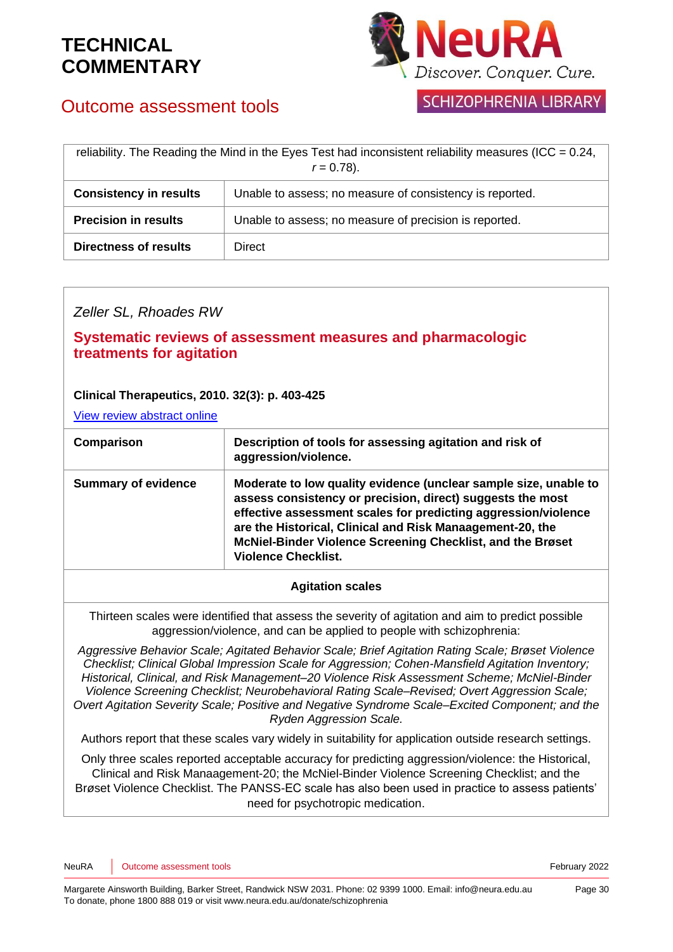

## Outcome assessment tools

**SCHIZOPHRENIA LIBRARY** 

| reliability. The Reading the Mind in the Eyes Test had inconsistent reliability measures (ICC = $0.24$ ,<br>$r = 0.78$ ). |                                                          |
|---------------------------------------------------------------------------------------------------------------------------|----------------------------------------------------------|
| <b>Consistency in results</b>                                                                                             | Unable to assess; no measure of consistency is reported. |
| <b>Precision in results</b>                                                                                               | Unable to assess; no measure of precision is reported.   |
| <b>Directness of results</b>                                                                                              | Direct                                                   |

### *Zeller SL, Rhoades RW*

### **Systematic reviews of assessment measures and pharmacologic treatments for agitation**

### **Clinical Therapeutics, 2010. 32(3): p. 403-425**

[View review abstract online](http://www.ncbi.nlm.nih.gov/pubmed/20399981)

| Comparison                 | Description of tools for assessing agitation and risk of<br>aggression/violence.                                                                                                                                                                                                                                                                          |
|----------------------------|-----------------------------------------------------------------------------------------------------------------------------------------------------------------------------------------------------------------------------------------------------------------------------------------------------------------------------------------------------------|
| <b>Summary of evidence</b> | Moderate to low quality evidence (unclear sample size, unable to<br>assess consistency or precision, direct) suggests the most<br>effective assessment scales for predicting aggression/violence<br>are the Historical, Clinical and Risk Manaagement-20, the<br>McNiel-Binder Violence Screening Checklist, and the Brøset<br><b>Violence Checklist.</b> |

### **Agitation scales**

Thirteen scales were identified that assess the severity of agitation and aim to predict possible aggression/violence, and can be applied to people with schizophrenia:

*Aggressive Behavior Scale; Agitated Behavior Scale; Brief Agitation Rating Scale; Brøset Violence Checklist; Clinical Global Impression Scale for Aggression; Cohen-Mansfield Agitation Inventory; Historical, Clinical, and Risk Management–20 Violence Risk Assessment Scheme; McNiel-Binder Violence Screening Checklist; Neurobehavioral Rating Scale–Revised; Overt Aggression Scale; Overt Agitation Severity Scale; Positive and Negative Syndrome Scale–Excited Component; and the Ryden Aggression Scale.*

Authors report that these scales vary widely in suitability for application outside research settings.

Only three scales reported acceptable accuracy for predicting aggression/violence: the Historical, Clinical and Risk Manaagement-20; the McNiel-Binder Violence Screening Checklist; and the Br*ø*set Violence Checklist. The PANSS-EC scale has also been used in practice to assess patients' need for psychotropic medication.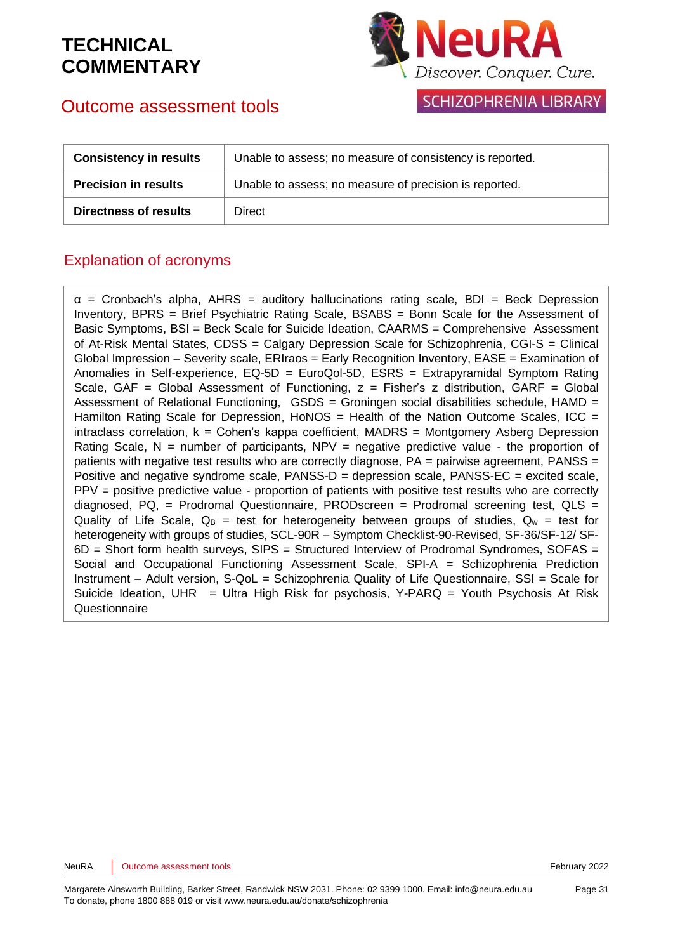

### **SCHIZOPHRENIA LIBRARY**

## Outcome assessment tools

| <b>Consistency in results</b> | Unable to assess; no measure of consistency is reported. |
|-------------------------------|----------------------------------------------------------|
| <b>Precision in results</b>   | Unable to assess; no measure of precision is reported.   |
| <b>Directness of results</b>  | <b>Direct</b>                                            |

### Explanation of acronyms

 $\alpha$  = Cronbach's alpha, AHRS = auditory hallucinations rating scale, BDI = Beck Depression Inventory, BPRS = Brief Psychiatric Rating Scale, BSABS = Bonn Scale for the Assessment of Basic Symptoms, BSI = Beck Scale for Suicide Ideation, CAARMS = Comprehensive Assessment of At-Risk Mental States, CDSS = Calgary Depression Scale for Schizophrenia, CGI-S = Clinical Global Impression – Severity scale, ERIraos = Early Recognition Inventory, EASE = Examination of Anomalies in Self-experience, EQ-5D = EuroQol-5D, ESRS = Extrapyramidal Symptom Rating Scale, GAF = Global Assessment of Functioning,  $z =$  Fisher's z distribution, GARF = Global Assessment of Relational Functioning,  $GSDS =$  Groningen social disabilities schedule, HAMD = Hamilton Rating Scale for Depression, HoNOS = Health of the Nation Outcome Scales, ICC = intraclass correlation, k = Cohen's kappa coefficient, MADRS = Montgomery Asberg Depression Rating Scale,  $N =$  number of participants,  $NPV =$  negative predictive value - the proportion of patients with negative test results who are correctly diagnose, PA = pairwise agreement, PANSS = Positive and negative syndrome scale,  $PANSS-D =$  depression scale,  $PANSS-EC =$  excited scale, PPV = positive predictive value - proportion of patients with positive test results who are correctly diagnosed, PQ, = Prodromal Questionnaire, PRODscreen = Prodromal screening test, QLS = Quality of Life Scale,  $Q_B$  = test for heterogeneity between groups of studies,  $Q_w$  = test for heterogeneity with groups of studies, SCL-90R – Symptom Checklist-90-Revised, SF-36/SF-12/ SF-6D = Short form health surveys, SIPS = Structured Interview of Prodromal Syndromes, SOFAS = Social and Occupational Functioning Assessment Scale, SPI-A = Schizophrenia Prediction Instrument – Adult version, S-QoL = Schizophrenia Quality of Life Questionnaire, SSI = Scale for Suicide Ideation, UHR = Ultra High Risk for psychosis, Y-PARQ = Youth Psychosis At Risk **Questionnaire**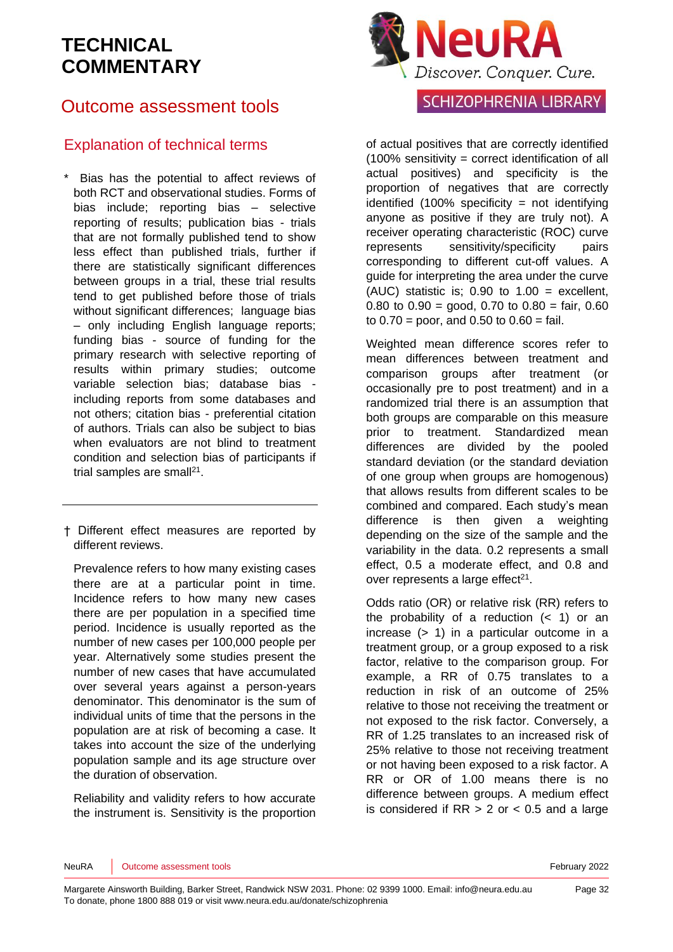## Outcome assessment tools

### Explanation of technical terms

- Bias has the potential to affect reviews of both RCT and observational studies. Forms of bias include; reporting bias – selective reporting of results; publication bias - trials that are not formally published tend to show less effect than published trials, further if there are statistically significant differences between groups in a trial, these trial results tend to get published before those of trials without significant differences: language bias – only including English language reports; funding bias - source of funding for the primary research with selective reporting of results within primary studies; outcome variable selection bias; database bias including reports from some databases and not others; citation bias - preferential citation of authors. Trials can also be subject to bias when evaluators are not blind to treatment condition and selection bias of participants if trial samples are small<sup>[21](#page-34-0)</sup>.
- † Different effect measures are reported by different reviews.

Prevalence refers to how many existing cases there are at a particular point in time. Incidence refers to how many new cases there are per population in a specified time period. Incidence is usually reported as the number of new cases per 100,000 people per year. Alternatively some studies present the number of new cases that have accumulated over several years against a person-years denominator. This denominator is the sum of individual units of time that the persons in the population are at risk of becoming a case. It takes into account the size of the underlying population sample and its age structure over the duration of observation.

Reliability and validity refers to how accurate the instrument is. Sensitivity is the proportion



### **SCHIZOPHRENIA LIBRARY**

of actual positives that are correctly identified (100% sensitivity = correct identification of all actual positives) and specificity is the proportion of negatives that are correctly identified  $(100\%$  specificity = not identifying anyone as positive if they are truly not). A receiver operating characteristic (ROC) curve represents sensitivity/specificity pairs corresponding to different cut-off values. A guide for interpreting the area under the curve (AUC) statistic is;  $0.90$  to  $1.00$  = excellent, 0.80 to  $0.90 = \text{good}$ , 0.70 to  $0.80 = \text{fair}$ , 0.60 to  $0.70$  = poor, and  $0.50$  to  $0.60$  = fail.

Weighted mean difference scores refer to mean differences between treatment and comparison groups after treatment (or occasionally pre to post treatment) and in a randomized trial there is an assumption that both groups are comparable on this measure prior to treatment. Standardized mean differences are divided by the pooled standard deviation (or the standard deviation of one group when groups are homogenous) that allows results from different scales to be combined and compared. Each study's mean difference is then given a weighting depending on the size of the sample and the variability in the data. 0.2 represents a small effect, 0.5 a moderate effect, and 0.8 and over represents a large effect $21$ .

Odds ratio (OR) or relative risk (RR) refers to the probability of a reduction  $( $1$ )$  or an increase (> 1) in a particular outcome in a treatment group, or a group exposed to a risk factor, relative to the comparison group. For example, a RR of 0.75 translates to a reduction in risk of an outcome of 25% relative to those not receiving the treatment or not exposed to the risk factor. Conversely, a RR of 1.25 translates to an increased risk of 25% relative to those not receiving treatment or not having been exposed to a risk factor. A RR or OR of 1.00 means there is no difference between groups. A medium effect is considered if  $RR > 2$  or  $< 0.5$  and a large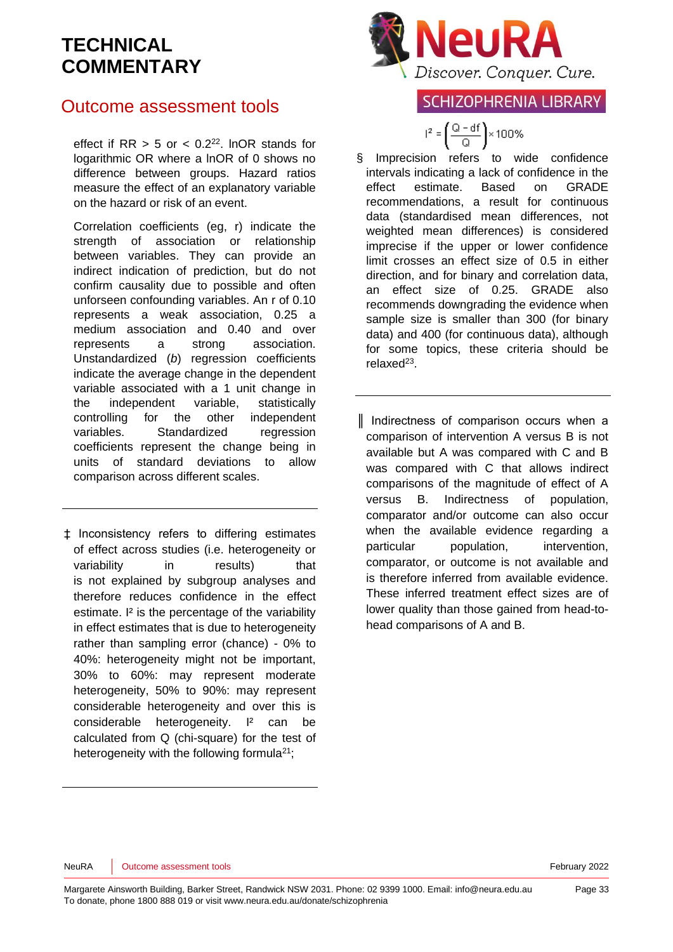## Outcome assessment tools

effect if  $RR > 5$  or  $< 0.2<sup>22</sup>$  $< 0.2<sup>22</sup>$  $< 0.2<sup>22</sup>$ . InOR stands for logarithmic OR where a lnOR of 0 shows no difference between groups. Hazard ratios measure the effect of an explanatory variable on the hazard or risk of an event.

Correlation coefficients (eg, r) indicate the strength of association or relationship between variables. They can provide an indirect indication of prediction, but do not confirm causality due to possible and often unforseen confounding variables. An r of 0.10 represents a weak association, 0.25 a medium association and 0.40 and over represents a strong association. Unstandardized (*b*) regression coefficients indicate the average change in the dependent variable associated with a 1 unit change in the independent variable, statistically controlling for the other independent variables. Standardized regression coefficients represent the change being in units of standard deviations to allow comparison across different scales.

‡ Inconsistency refers to differing estimates of effect across studies (i.e. heterogeneity or variability in results) that is not explained by subgroup analyses and therefore reduces confidence in the effect estimate. I<sup>2</sup> is the percentage of the variability in effect estimates that is due to heterogeneity rather than sampling error (chance) - 0% to 40%: heterogeneity might not be important, 30% to 60%: may represent moderate heterogeneity, 50% to 90%: may represent considerable heterogeneity and over this is considerable heterogeneity. I² can be calculated from Q (chi-square) for the test of heterogeneity with the following formula $21$ ;



### **SCHIZOPHRENIA LIBRARY**

 $I^2 = \left(\frac{Q - df}{Q}\right) \times 100\%$ 

§ Imprecision refers to wide confidence intervals indicating a lack of confidence in the effect estimate. Based on GRADE recommendations, a result for continuous data (standardised mean differences, not weighted mean differences) is considered imprecise if the upper or lower confidence limit crosses an effect size of 0.5 in either direction, and for binary and correlation data, an effect size of 0.25. GRADE also recommends downgrading the evidence when sample size is smaller than 300 (for binary data) and 400 (for continuous data), although for some topics, these criteria should be relaxed<sup>[23](#page-34-2)</sup>.

║ Indirectness of comparison occurs when a comparison of intervention A versus B is not available but A was compared with C and B was compared with C that allows indirect comparisons of the magnitude of effect of A versus B. Indirectness of population, comparator and/or outcome can also occur when the available evidence regarding a particular population, intervention, comparator, or outcome is not available and is therefore inferred from available evidence. These inferred treatment effect sizes are of lower quality than those gained from head-tohead comparisons of A and B.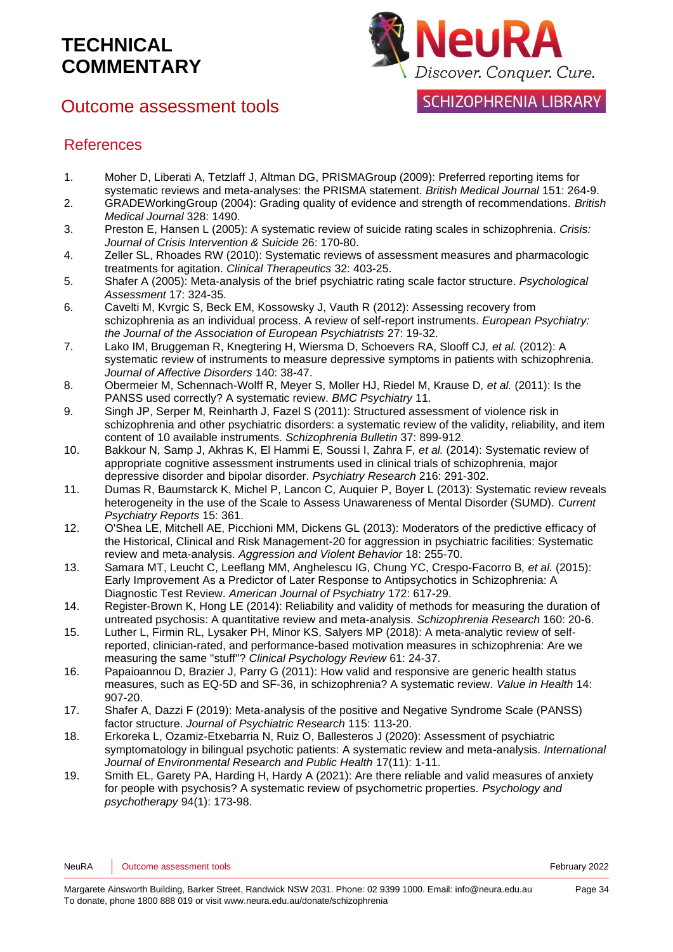## Outcome assessment tools



**SCHIZOPHRENIA LIBRARY** 

### References

- <span id="page-33-0"></span>1. Moher D, Liberati A, Tetzlaff J, Altman DG, PRISMAGroup (2009): Preferred reporting items for systematic reviews and meta-analyses: the PRISMA statement. *British Medical Journal* 151: 264-9.
- <span id="page-33-1"></span>2. GRADEWorkingGroup (2004): Grading quality of evidence and strength of recommendations. *British Medical Journal* 328: 1490.
- <span id="page-33-2"></span>3. Preston E, Hansen L (2005): A systematic review of suicide rating scales in schizophrenia. *Crisis: Journal of Crisis Intervention & Suicide* 26: 170-80.
- 4. Zeller SL, Rhoades RW (2010): Systematic reviews of assessment measures and pharmacologic treatments for agitation. *Clinical Therapeutics* 32: 403-25.
- 5. Shafer A (2005): Meta-analysis of the brief psychiatric rating scale factor structure. *Psychological Assessment* 17: 324-35.
- 6. Cavelti M, Kvrgic S, Beck EM, Kossowsky J, Vauth R (2012): Assessing recovery from schizophrenia as an individual process. A review of self-report instruments. *European Psychiatry: the Journal of the Association of European Psychiatrists* 27: 19-32.
- 7. Lako IM, Bruggeman R, Knegtering H, Wiersma D, Schoevers RA, Slooff CJ*, et al.* (2012): A systematic review of instruments to measure depressive symptoms in patients with schizophrenia. *Journal of Affective Disorders* 140: 38-47.
- 8. Obermeier M, Schennach-Wolff R, Meyer S, Moller HJ, Riedel M, Krause D*, et al.* (2011): Is the PANSS used correctly? A systematic review. *BMC Psychiatry* 11.
- 9. Singh JP, Serper M, Reinharth J, Fazel S (2011): Structured assessment of violence risk in schizophrenia and other psychiatric disorders: a systematic review of the validity, reliability, and item content of 10 available instruments. *Schizophrenia Bulletin* 37: 899-912.
- 10. Bakkour N, Samp J, Akhras K, El Hammi E, Soussi I, Zahra F*, et al.* (2014): Systematic review of appropriate cognitive assessment instruments used in clinical trials of schizophrenia, major depressive disorder and bipolar disorder. *Psychiatry Research* 216: 291-302.
- 11. Dumas R, Baumstarck K, Michel P, Lancon C, Auquier P, Boyer L (2013): Systematic review reveals heterogeneity in the use of the Scale to Assess Unawareness of Mental Disorder (SUMD). *Current Psychiatry Reports* 15: 361.
- 12. O'Shea LE, Mitchell AE, Picchioni MM, Dickens GL (2013): Moderators of the predictive efficacy of the Historical, Clinical and Risk Management-20 for aggression in psychiatric facilities: Systematic review and meta-analysis. *Aggression and Violent Behavior* 18: 255-70.
- 13. Samara MT, Leucht C, Leeflang MM, Anghelescu IG, Chung YC, Crespo-Facorro B*, et al.* (2015): Early Improvement As a Predictor of Later Response to Antipsychotics in Schizophrenia: A Diagnostic Test Review. *American Journal of Psychiatry* 172: 617-29.
- 14. Register-Brown K, Hong LE (2014): Reliability and validity of methods for measuring the duration of untreated psychosis: A quantitative review and meta-analysis. *Schizophrenia Research* 160: 20-6.
- 15. Luther L, Firmin RL, Lysaker PH, Minor KS, Salyers MP (2018): A meta-analytic review of selfreported, clinician-rated, and performance-based motivation measures in schizophrenia: Are we measuring the same "stuff"? *Clinical Psychology Review* 61: 24-37.
- 16. Papaioannou D, Brazier J, Parry G (2011): How valid and responsive are generic health status measures, such as EQ-5D and SF-36, in schizophrenia? A systematic review. *Value in Health* 14: 907-20.
- 17. Shafer A, Dazzi F (2019): Meta-analysis of the positive and Negative Syndrome Scale (PANSS) factor structure. *Journal of Psychiatric Research* 115: 113-20.
- 18. Erkoreka L, Ozamiz-Etxebarria N, Ruiz O, Ballesteros J (2020): Assessment of psychiatric symptomatology in bilingual psychotic patients: A systematic review and meta-analysis. *International Journal of Environmental Research and Public Health* 17(11): 1-11.
- 19. Smith EL, Garety PA, Harding H, Hardy A (2021): Are there reliable and valid measures of anxiety for people with psychosis? A systematic review of psychometric properties. *Psychology and psychotherapy* 94(1): 173-98.